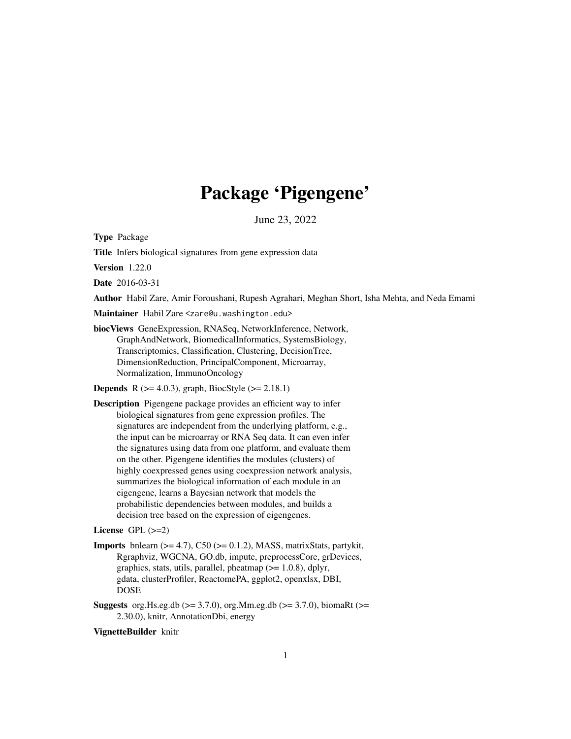# Package 'Pigengene'

June 23, 2022

<span id="page-0-0"></span>Type Package

Title Infers biological signatures from gene expression data

Version 1.22.0

Date 2016-03-31

Author Habil Zare, Amir Foroushani, Rupesh Agrahari, Meghan Short, Isha Mehta, and Neda Emami

Maintainer Habil Zare <zare@u.washington.edu>

biocViews GeneExpression, RNASeq, NetworkInference, Network, GraphAndNetwork, BiomedicalInformatics, SystemsBiology, Transcriptomics, Classification, Clustering, DecisionTree, DimensionReduction, PrincipalComponent, Microarray, Normalization, ImmunoOncology

**Depends** R ( $>= 4.0.3$ ), graph, BiocStyle ( $>= 2.18.1$ )

Description Pigengene package provides an efficient way to infer biological signatures from gene expression profiles. The signatures are independent from the underlying platform, e.g., the input can be microarray or RNA Seq data. It can even infer the signatures using data from one platform, and evaluate them on the other. Pigengene identifies the modules (clusters) of highly coexpressed genes using coexpression network analysis, summarizes the biological information of each module in an eigengene, learns a Bayesian network that models the probabilistic dependencies between modules, and builds a decision tree based on the expression of eigengenes.

# License  $GPL$  ( $>=2$ )

- **Imports** bnlearn  $(>= 4.7)$ , C50  $(>= 0.1.2)$ , MASS, matrixStats, partykit, Rgraphviz, WGCNA, GO.db, impute, preprocessCore, grDevices, graphics, stats, utils, parallel, pheatmap  $(>= 1.0.8)$ , dplyr, gdata, clusterProfiler, ReactomePA, ggplot2, openxlsx, DBI, DOSE
- **Suggests** org. Hs.eg.db ( $>= 3.7.0$ ), org. Mm.eg.db ( $>= 3.7.0$ ), biomaRt ( $>=$ 2.30.0), knitr, AnnotationDbi, energy

#### VignetteBuilder knitr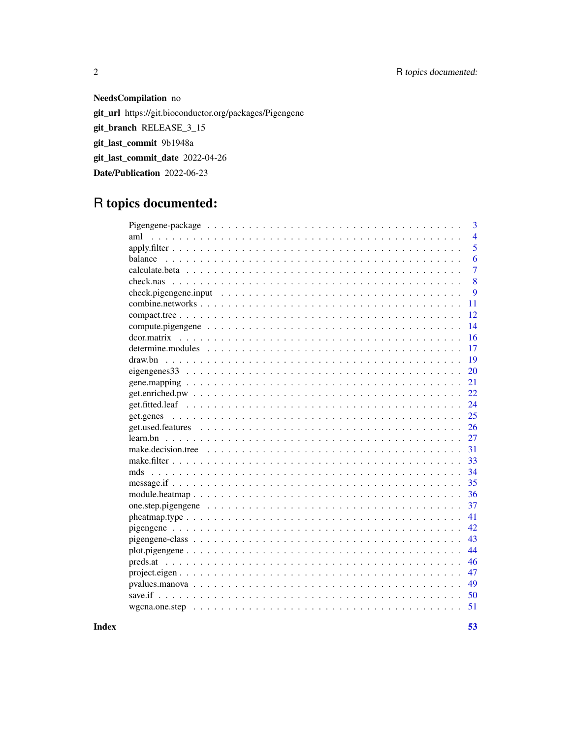# 2 R topics documented:

# NeedsCompilation no

git\_url https://git.bioconductor.org/packages/Pigengene git\_branch RELEASE\_3\_15 git\_last\_commit 9b1948a git\_last\_commit\_date 2022-04-26 Date/Publication 2022-06-23

# R topics documented:

| 3                     |
|-----------------------|
| $\overline{4}$<br>aml |
| 5                     |
| 6                     |
| $\overline{7}$        |
| 8                     |
| 9                     |
| 11                    |
| 12                    |
| 14                    |
| 16                    |
| 17                    |
| draw.bn<br>19         |
| 20                    |
| 21                    |
| 22                    |
| 24                    |
| 25                    |
| 26                    |
| 27                    |
| 31                    |
| 33                    |
| 34                    |
| 35                    |
| 36                    |
| 37                    |
| 41                    |
| 42                    |
| 43                    |
| 44                    |
| 46                    |
| 47                    |
| 49                    |
| 50                    |
| 51                    |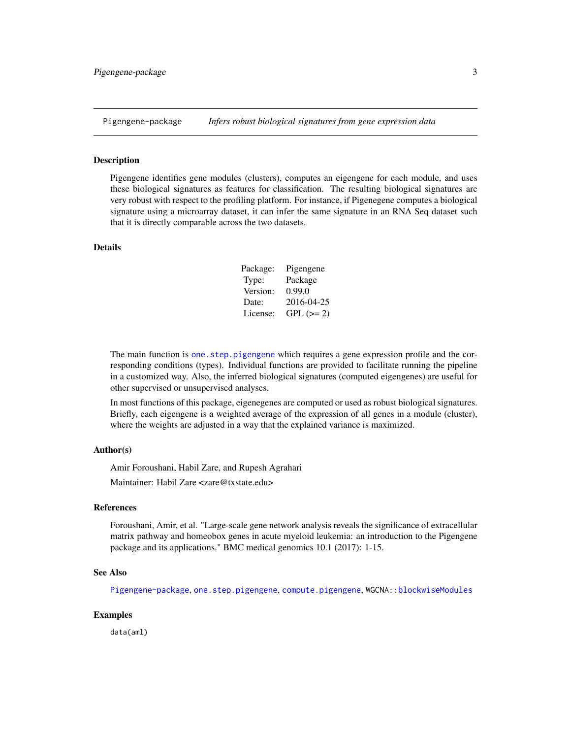<span id="page-2-1"></span><span id="page-2-0"></span>

#### Description

Pigengene identifies gene modules (clusters), computes an eigengene for each module, and uses these biological signatures as features for classification. The resulting biological signatures are very robust with respect to the profiling platform. For instance, if Pigenegene computes a biological signature using a microarray dataset, it can infer the same signature in an RNA Seq dataset such that it is directly comparable across the two datasets.

# Details

| Package: | Pigengene   |
|----------|-------------|
| Type:    | Package     |
| Version: | 0.99.0      |
| Date:    | 2016-04-25  |
| License: | $GPL (= 2)$ |

The main function is one. step. pigengene which requires a gene expression profile and the corresponding conditions (types). Individual functions are provided to facilitate running the pipeline in a customized way. Also, the inferred biological signatures (computed eigengenes) are useful for other supervised or unsupervised analyses.

In most functions of this package, eigenegenes are computed or used as robust biological signatures. Briefly, each eigengene is a weighted average of the expression of all genes in a module (cluster), where the weights are adjusted in a way that the explained variance is maximized.

#### Author(s)

Amir Foroushani, Habil Zare, and Rupesh Agrahari

Maintainer: Habil Zare <zare@txstate.edu>

# References

Foroushani, Amir, et al. "Large-scale gene network analysis reveals the significance of extracellular matrix pathway and homeobox genes in acute myeloid leukemia: an introduction to the Pigengene package and its applications." BMC medical genomics 10.1 (2017): 1-15.

#### See Also

[Pigengene-package](#page-2-1), [one.step.pigengene](#page-36-1), [compute.pigengene](#page-13-1), WGCNA:[:blockwiseModules](#page-0-0)

#### Examples

data(aml)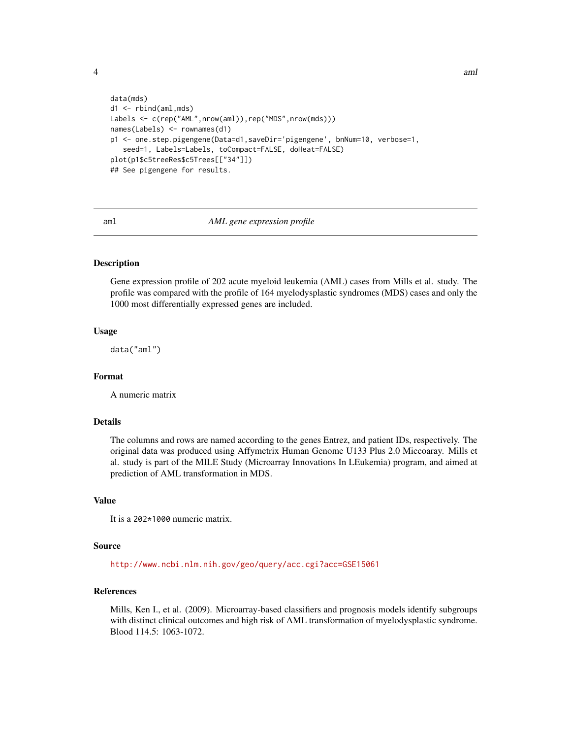<span id="page-3-0"></span>

```
data(mds)
d1 <- rbind(aml,mds)
Labels <- c(rep("AML",nrow(aml)),rep("MDS",nrow(mds)))
names(Labels) <- rownames(d1)
p1 <- one.step.pigengene(Data=d1,saveDir='pigengene', bnNum=10, verbose=1,
   seed=1, Labels=Labels, toCompact=FALSE, doHeat=FALSE)
plot(p1$c5treeRes$c5Trees[["34"]])
## See pigengene for results.
```
<span id="page-3-1"></span>

#### aml *AML gene expression profile*

#### Description

Gene expression profile of 202 acute myeloid leukemia (AML) cases from Mills et al. study. The profile was compared with the profile of 164 myelodysplastic syndromes (MDS) cases and only the 1000 most differentially expressed genes are included.

#### Usage

data("aml")

#### Format

A numeric matrix

# Details

The columns and rows are named according to the genes Entrez, and patient IDs, respectively. The original data was produced using Affymetrix Human Genome U133 Plus 2.0 Miccoaray. Mills et al. study is part of the MILE Study (Microarray Innovations In LEukemia) program, and aimed at prediction of AML transformation in MDS.

# Value

It is a 202\*1000 numeric matrix.

#### Source

<http://www.ncbi.nlm.nih.gov/geo/query/acc.cgi?acc=GSE15061>

#### References

Mills, Ken I., et al. (2009). Microarray-based classifiers and prognosis models identify subgroups with distinct clinical outcomes and high risk of AML transformation of myelodysplastic syndrome. Blood 114.5: 1063-1072.

4 aml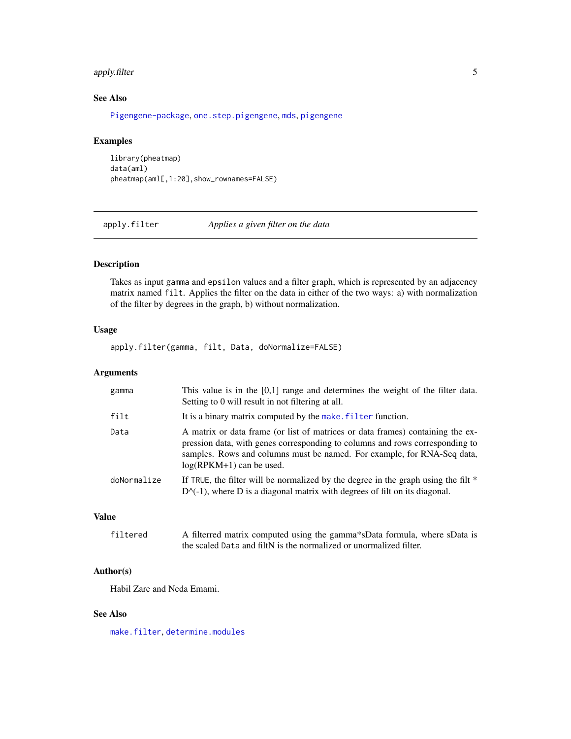# <span id="page-4-0"></span>apply.filter 5

# See Also

[Pigengene-package](#page-2-1), [one.step.pigengene](#page-36-1), [mds](#page-33-1), [pigengene](#page-41-1)

# Examples

library(pheatmap) data(aml) pheatmap(aml[,1:20],show\_rownames=FALSE)

<span id="page-4-1"></span>apply.filter *Applies a given filter on the data*

# Description

Takes as input gamma and epsilon values and a filter graph, which is represented by an adjacency matrix named filt. Applies the filter on the data in either of the two ways: a) with normalization of the filter by degrees in the graph, b) without normalization.

# Usage

apply.filter(gamma, filt, Data, doNormalize=FALSE)

# Arguments

| gamma       | This value is in the $[0,1]$ range and determines the weight of the filter data.<br>Setting to 0 will result in not filtering at all.                                                                                                                                   |
|-------------|-------------------------------------------------------------------------------------------------------------------------------------------------------------------------------------------------------------------------------------------------------------------------|
| filt        | It is a binary matrix computed by the make. filter function.                                                                                                                                                                                                            |
| Data        | A matrix or data frame (or list of matrices or data frames) containing the ex-<br>pression data, with genes corresponding to columns and rows corresponding to<br>samples. Rows and columns must be named. For example, for RNA-Seq data,<br>$log(RPKM+1)$ can be used. |
| doNormalize | If TRUE, the filter will be normalized by the degree in the graph using the filt $*$<br>$D^{-1}$ , where D is a diagonal matrix with degrees of filt on its diagonal.                                                                                                   |

#### Value

| filtered | A filterred matrix computed using the gamma*sData formula, where sData is |
|----------|---------------------------------------------------------------------------|
|          | the scaled Data and filtN is the normalized or unormalized filter.        |

# Author(s)

Habil Zare and Neda Emami.

# See Also

[make.filter](#page-32-1), [determine.modules](#page-16-1)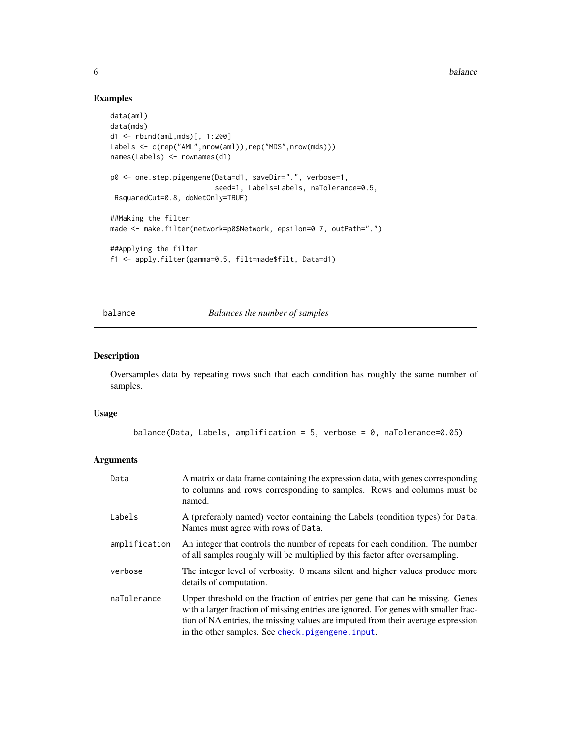**6** balance **b** balance **b** balance **b** balance **b** balance **b** balance **b** balance

# Examples

```
data(aml)
data(mds)
d1 <- rbind(aml,mds)[, 1:200]
Labels <- c(rep("AML",nrow(aml)),rep("MDS",nrow(mds)))
names(Labels) <- rownames(d1)
p0 <- one.step.pigengene(Data=d1, saveDir=".", verbose=1,
                         seed=1, Labels=Labels, naTolerance=0.5,
 RsquaredCut=0.8, doNetOnly=TRUE)
##Making the filter
made <- make.filter(network=p0$Network, epsilon=0.7, outPath=".")
##Applying the filter
f1 <- apply.filter(gamma=0.5, filt=made$filt, Data=d1)
```
<span id="page-5-1"></span>balance *Balances the number of samples*

# Description

Oversamples data by repeating rows such that each condition has roughly the same number of samples.

#### Usage

```
balance(Data, Labels, amplification = 5, verbose = 0, naTolerance=0.05)
```

| Data          | A matrix or data frame containing the expression data, with genes corresponding<br>to columns and rows corresponding to samples. Rows and columns must be<br>named.                                                                                                                                           |
|---------------|---------------------------------------------------------------------------------------------------------------------------------------------------------------------------------------------------------------------------------------------------------------------------------------------------------------|
| Labels        | A (preferably named) vector containing the Labels (condition types) for Data.<br>Names must agree with rows of Data.                                                                                                                                                                                          |
| amplification | An integer that controls the number of repeats for each condition. The number<br>of all samples roughly will be multiplied by this factor after oversampling.                                                                                                                                                 |
| verbose       | The integer level of verbosity. 0 means silent and higher values produce more<br>details of computation.                                                                                                                                                                                                      |
| naTolerance   | Upper threshold on the fraction of entries per gene that can be missing. Genes<br>with a larger fraction of missing entries are ignored. For genes with smaller frac-<br>tion of NA entries, the missing values are imputed from their average expression<br>in the other samples. See check.pigengene.input. |

<span id="page-5-0"></span>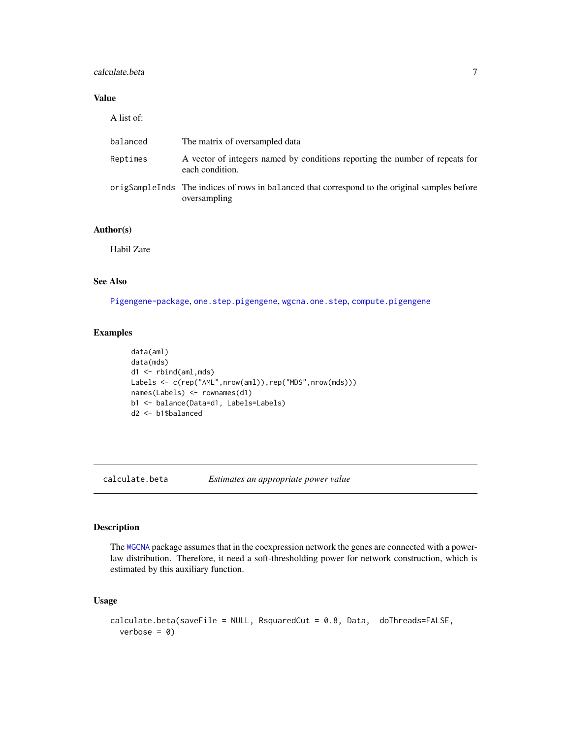# <span id="page-6-0"></span>calculate.beta 7

# Value

A list of:

| balanced | The matrix of oversampled data                                                                                |
|----------|---------------------------------------------------------------------------------------------------------------|
| Reptimes | A vector of integers named by conditions reporting the number of repeats for<br>each condition.               |
|          | origSampleInds The indices of rows in balanced that correspond to the original samples before<br>oversampling |

# Author(s)

Habil Zare

#### See Also

[Pigengene-package](#page-2-1), [one.step.pigengene](#page-36-1), [wgcna.one.step](#page-50-1), [compute.pigengene](#page-13-1)

# Examples

```
data(aml)
data(mds)
d1 <- rbind(aml,mds)
Labels <- c(rep("AML",nrow(aml)),rep("MDS",nrow(mds)))
names(Labels) <- rownames(d1)
b1 <- balance(Data=d1, Labels=Labels)
d2 <- b1$balanced
```
<span id="page-6-1"></span>calculate.beta *Estimates an appropriate power value*

#### Description

The [WGCNA](#page-0-0) package assumes that in the coexpression network the genes are connected with a powerlaw distribution. Therefore, it need a soft-thresholding power for network construction, which is estimated by this auxiliary function.

# Usage

```
calculate.beta(saveFile = NULL, RsquaredCut = 0.8, Data, doThreads=FALSE,
 verbose = 0)
```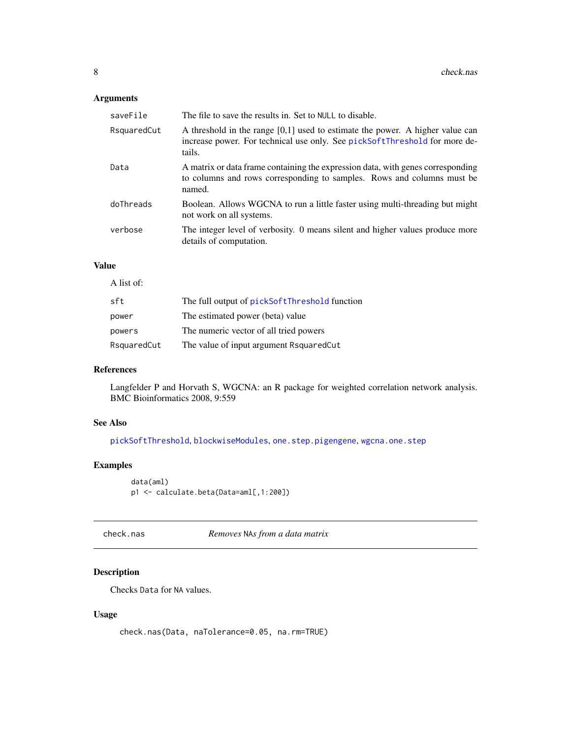# <span id="page-7-0"></span>Arguments

| saveFile    | The file to save the results in. Set to NULL to disable.                                                                                                                |
|-------------|-------------------------------------------------------------------------------------------------------------------------------------------------------------------------|
| RsquaredCut | A threshold in the range $[0,1]$ used to estimate the power. A higher value can<br>increase power. For technical use only. See pickSoftThreshold for more de-<br>tails. |
| Data        | A matrix or data frame containing the expression data, with genes corresponding<br>to columns and rows corresponding to samples. Rows and columns must be<br>named.     |
| doThreads   | Boolean. Allows WGCNA to run a little faster using multi-threading but might<br>not work on all systems.                                                                |
| verbose     | The integer level of verbosity. 0 means silent and higher values produce more<br>details of computation.                                                                |

# Value

| A list of:  |                                               |
|-------------|-----------------------------------------------|
| sft         | The full output of pickSoftThreshold function |
| power       | The estimated power (beta) value              |
| powers      | The numeric vector of all tried powers        |
| RsquaredCut | The value of input argument Rsquared Cut      |

# References

Langfelder P and Horvath S, WGCNA: an R package for weighted correlation network analysis. BMC Bioinformatics 2008, 9:559

# See Also

[pickSoftThreshold](#page-0-0), [blockwiseModules](#page-0-0), [one.step.pigengene](#page-36-1), [wgcna.one.step](#page-50-1)

# Examples

```
data(aml)
p1 <- calculate.beta(Data=aml[,1:200])
```
<span id="page-7-1"></span>check.nas *Removes* NA*s from a data matrix*

# Description

Checks Data for NA values.

# Usage

check.nas(Data, naTolerance=0.05, na.rm=TRUE)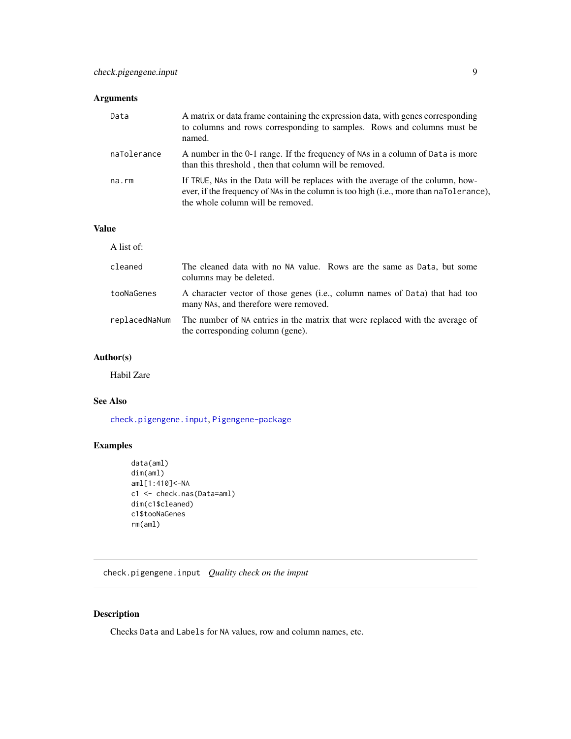# <span id="page-8-0"></span>Arguments

| Data        | A matrix or data frame containing the expression data, with genes corresponding<br>to columns and rows corresponding to samples. Rows and columns must be<br>named.                                           |
|-------------|---------------------------------------------------------------------------------------------------------------------------------------------------------------------------------------------------------------|
| naTolerance | A number in the 0-1 range. If the frequency of NAs in a column of Data is more<br>than this threshold, then that column will be removed.                                                                      |
| na.rm       | If TRUE, NAs in the Data will be replaces with the average of the column, how-<br>ever, if the frequency of NAs in the column is too high (i.e., more than naTolerance),<br>the whole column will be removed. |

# Value

| A list of:    |                                                                                                                      |
|---------------|----------------------------------------------------------------------------------------------------------------------|
| cleaned       | The cleaned data with no NA value. Rows are the same as Data, but some<br>columns may be deleted.                    |
| tooNaGenes    | A character vector of those genes (i.e., column names of Data) that had too<br>many NAs, and therefore were removed. |
| replacedNaNum | The number of NA entries in the matrix that were replaced with the average of<br>the corresponding column (gene).    |

# Author(s)

Habil Zare

# See Also

[check.pigengene.input](#page-8-1), [Pigengene-package](#page-2-1)

# Examples

```
data(aml)
dim(aml)
aml[1:410]<-NA
c1 <- check.nas(Data=aml)
dim(c1$cleaned)
c1$tooNaGenes
rm(aml)
```
<span id="page-8-1"></span>check.pigengene.input *Quality check on the imput*

# Description

Checks Data and Labels for NA values, row and column names, etc.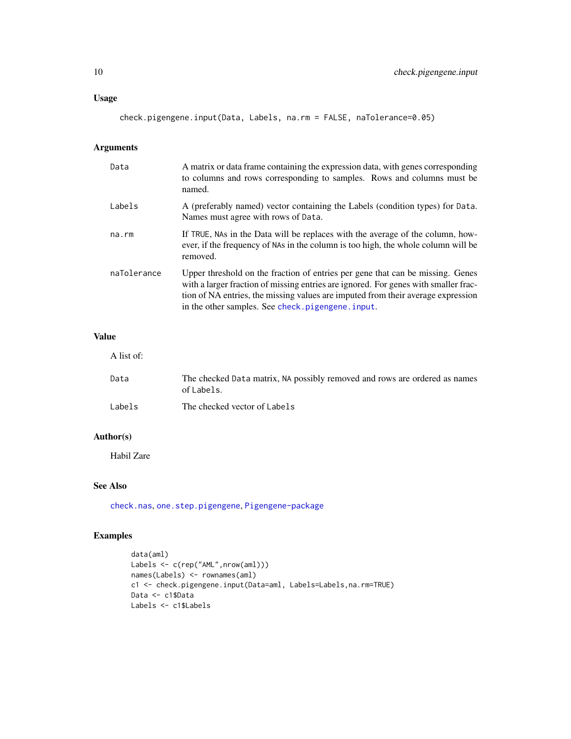# <span id="page-9-0"></span>Usage

check.pigengene.input(Data, Labels, na.rm = FALSE, naTolerance=0.05)

# Arguments

| Data        | A matrix or data frame containing the expression data, with genes corresponding<br>to columns and rows corresponding to samples. Rows and columns must be<br>named.                                                                                                                                           |
|-------------|---------------------------------------------------------------------------------------------------------------------------------------------------------------------------------------------------------------------------------------------------------------------------------------------------------------|
| Labels      | A (preferably named) vector containing the Labels (condition types) for Data.<br>Names must agree with rows of Data.                                                                                                                                                                                          |
| $na$ . $rm$ | If TRUE, NAs in the Data will be replaces with the average of the column, how-<br>ever, if the frequency of NAs in the column is too high, the whole column will be<br>removed.                                                                                                                               |
| naTolerance | Upper threshold on the fraction of entries per gene that can be missing. Genes<br>with a larger fraction of missing entries are ignored. For genes with smaller frac-<br>tion of NA entries, the missing values are imputed from their average expression<br>in the other samples. See check.pigengene.input. |

# Value

A list of:

| Data   | The checked Data matrix, NA possibly removed and rows are ordered as names<br>of Labels. |
|--------|------------------------------------------------------------------------------------------|
| Labels | The checked vector of Labels                                                             |

# Author(s)

Habil Zare

# See Also

[check.nas](#page-7-1), [one.step.pigengene](#page-36-1), [Pigengene-package](#page-2-1)

# Examples

```
data(aml)
Labels <- c(rep("AML",nrow(aml)))
names(Labels) <- rownames(aml)
c1 <- check.pigengene.input(Data=aml, Labels=Labels,na.rm=TRUE)
Data <- c1$Data
Labels <- c1$Labels
```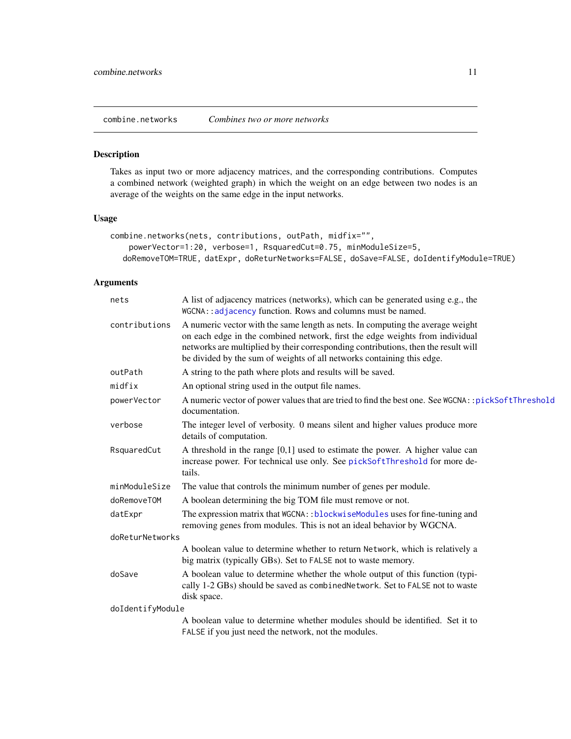<span id="page-10-1"></span><span id="page-10-0"></span>combine.networks *Combines two or more networks*

# Description

Takes as input two or more adjacency matrices, and the corresponding contributions. Computes a combined network (weighted graph) in which the weight on an edge between two nodes is an average of the weights on the same edge in the input networks.

# Usage

```
combine.networks(nets, contributions, outPath, midfix="",
   powerVector=1:20, verbose=1, RsquaredCut=0.75, minModuleSize=5,
  doRemoveTOM=TRUE, datExpr, doReturNetworks=FALSE, doSave=FALSE, doIdentifyModule=TRUE)
```

| nets             | A list of adjacency matrices (networks), which can be generated using e.g., the<br>WGCNA: : adjacency function. Rows and columns must be named.                                                                                                                                                                                |
|------------------|--------------------------------------------------------------------------------------------------------------------------------------------------------------------------------------------------------------------------------------------------------------------------------------------------------------------------------|
| contributions    | A numeric vector with the same length as nets. In computing the average weight<br>on each edge in the combined network, first the edge weights from individual<br>networks are multiplied by their corresponding contributions, then the result will<br>be divided by the sum of weights of all networks containing this edge. |
| outPath          | A string to the path where plots and results will be saved.                                                                                                                                                                                                                                                                    |
| midfix           | An optional string used in the output file names.                                                                                                                                                                                                                                                                              |
| powerVector      | A numeric vector of power values that are tried to find the best one. See WGCNA:: pickSoftThreshold<br>documentation.                                                                                                                                                                                                          |
| verbose          | The integer level of verbosity. 0 means silent and higher values produce more<br>details of computation.                                                                                                                                                                                                                       |
| RsquaredCut      | A threshold in the range $[0,1]$ used to estimate the power. A higher value can<br>increase power. For technical use only. See pickSoftThreshold for more de-<br>tails.                                                                                                                                                        |
| minModuleSize    | The value that controls the minimum number of genes per module.                                                                                                                                                                                                                                                                |
| doRemoveTOM      | A boolean determining the big TOM file must remove or not.                                                                                                                                                                                                                                                                     |
| datExpr          | The expression matrix that WGCNA:: blockwiseModules uses for fine-tuning and<br>removing genes from modules. This is not an ideal behavior by WGCNA.                                                                                                                                                                           |
| doReturNetworks  |                                                                                                                                                                                                                                                                                                                                |
|                  | A boolean value to determine whether to return Network, which is relatively a<br>big matrix (typically GBs). Set to FALSE not to waste memory.                                                                                                                                                                                 |
| doSave           | A boolean value to determine whether the whole output of this function (typi-<br>cally 1-2 GBs) should be saved as combined Network. Set to FALSE not to waste<br>disk space.                                                                                                                                                  |
| doIdentifyModule |                                                                                                                                                                                                                                                                                                                                |
|                  | A boolean value to determine whether modules should be identified. Set it to<br>FALSE if you just need the network, not the modules.                                                                                                                                                                                           |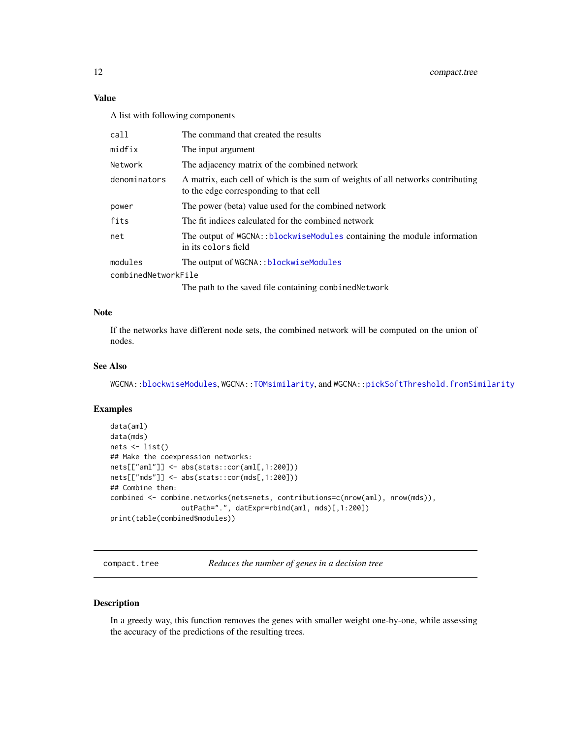# <span id="page-11-0"></span>Value

A list with following components

| call                | The command that created the results                                                                                      |
|---------------------|---------------------------------------------------------------------------------------------------------------------------|
| midfix              | The input argument                                                                                                        |
| Network             | The adjacency matrix of the combined network                                                                              |
| denominators        | A matrix, each cell of which is the sum of weights of all networks contributing<br>to the edge corresponding to that cell |
| power               | The power (beta) value used for the combined network                                                                      |
| fits                | The fit indices calculated for the combined network                                                                       |
| net                 | The output of WGCNA::blockwiseModules containing the module information<br>in its colors field                            |
| modules             | The output of WGCNA:: blockwiseModules                                                                                    |
| combinedNetworkFile |                                                                                                                           |
|                     | The path to the saved file containing combined Network                                                                    |

#### Note

If the networks have different node sets, the combined network will be computed on the union of nodes.

#### See Also

WGCNA:[:blockwiseModules](#page-0-0), WGCNA:[:TOMsimilarity](#page-0-0), and WGCNA:[:pickSoftThreshold.fromSimilarity](#page-0-0)

#### Examples

```
data(aml)
data(mds)
nets <- list()
## Make the coexpression networks:
nets[["aml"]] <- abs(stats::cor(aml[,1:200]))
nets[["mds"]] <- abs(stats::cor(mds[,1:200]))
## Combine them:
combined <- combine.networks(nets=nets, contributions=c(nrow(aml), nrow(mds)),
                 outPath=".", datExpr=rbind(aml, mds)[,1:200])
print(table(combined$modules))
```
<span id="page-11-1"></span>compact.tree *Reduces the number of genes in a decision tree*

#### Description

In a greedy way, this function removes the genes with smaller weight one-by-one, while assessing the accuracy of the predictions of the resulting trees.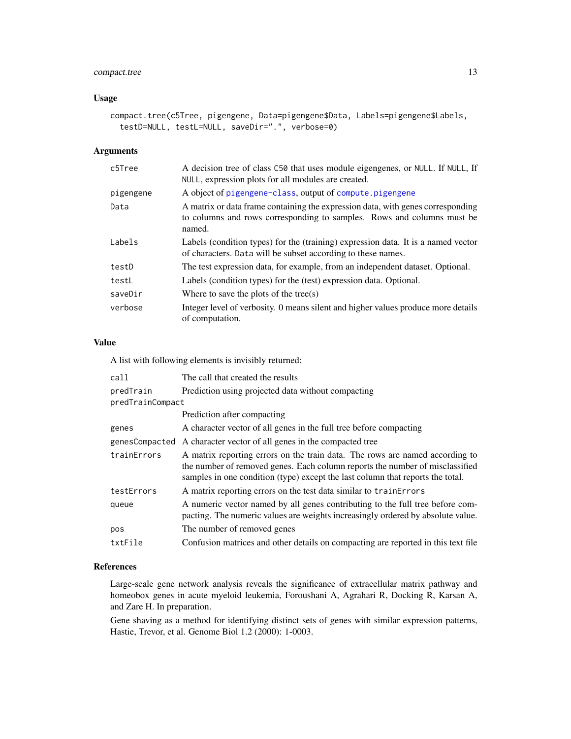# <span id="page-12-0"></span>compact.tree 13

# Usage

```
compact.tree(c5Tree, pigengene, Data=pigengene$Data, Labels=pigengene$Labels,
  testD=NULL, testL=NULL, saveDir=".", verbose=0)
```
# Arguments

| c5Tree    | A decision tree of class C50 that uses module eigengenes, or NULL. If NULL, If<br>NULL, expression plots for all modules are created.                               |
|-----------|---------------------------------------------------------------------------------------------------------------------------------------------------------------------|
| pigengene | A object of pigengene-class, output of compute pigengene                                                                                                            |
| Data      | A matrix or data frame containing the expression data, with genes corresponding<br>to columns and rows corresponding to samples. Rows and columns must be<br>named. |
| Labels    | Labels (condition types) for the (training) expression data. It is a named vector<br>of characters. Data will be subset according to these names.                   |
| testD     | The test expression data, for example, from an independent dataset. Optional.                                                                                       |
| testL     | Labels (condition types) for the (test) expression data. Optional.                                                                                                  |
| saveDir   | Where to save the plots of the tree(s)                                                                                                                              |
| verbose   | Integer level of verbosity. O means silent and higher values produce more details<br>of computation.                                                                |

# Value

A list with following elements is invisibly returned:

| call             | The call that created the results                                                                                                                                                                                                              |
|------------------|------------------------------------------------------------------------------------------------------------------------------------------------------------------------------------------------------------------------------------------------|
| predTrain        | Prediction using projected data without compacting                                                                                                                                                                                             |
| predTrainCompact |                                                                                                                                                                                                                                                |
|                  | Prediction after compacting                                                                                                                                                                                                                    |
| genes            | A character vector of all genes in the full tree before compacting                                                                                                                                                                             |
| genesCompacted   | A character vector of all genes in the compacted tree                                                                                                                                                                                          |
| trainErrors      | A matrix reporting errors on the train data. The rows are named according to<br>the number of removed genes. Each column reports the number of misclassified<br>samples in one condition (type) except the last column that reports the total. |
| testErrors       | A matrix reporting errors on the test data similar to trainerrors                                                                                                                                                                              |
| queue            | A numeric vector named by all genes contributing to the full tree before com-<br>pacting. The numeric values are weights increasingly ordered by absolute value.                                                                               |
| pos              | The number of removed genes                                                                                                                                                                                                                    |
| txtFile          | Confusion matrices and other details on compacting are reported in this text file                                                                                                                                                              |

#### References

Large-scale gene network analysis reveals the significance of extracellular matrix pathway and homeobox genes in acute myeloid leukemia, Foroushani A, Agrahari R, Docking R, Karsan A, and Zare H. In preparation.

Gene shaving as a method for identifying distinct sets of genes with similar expression patterns, Hastie, Trevor, et al. Genome Biol 1.2 (2000): 1-0003.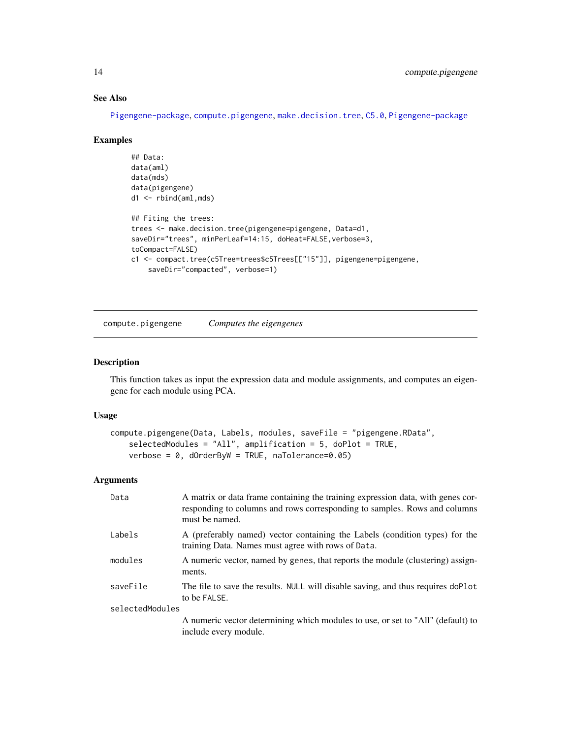# See Also

[Pigengene-package](#page-2-1), [compute.pigengene](#page-13-1), [make.decision.tree](#page-30-1), [C5.0](#page-0-0), [Pigengene-package](#page-2-1)

#### Examples

```
## Data:
data(aml)
data(mds)
data(pigengene)
d1 <- rbind(aml,mds)
## Fiting the trees:
trees <- make.decision.tree(pigengene=pigengene, Data=d1,
saveDir="trees", minPerLeaf=14:15, doHeat=FALSE,verbose=3,
toCompact=FALSE)
c1 <- compact.tree(c5Tree=trees$c5Trees[["15"]], pigengene=pigengene,
    saveDir="compacted", verbose=1)
```
<span id="page-13-1"></span>compute.pigengene *Computes the eigengenes*

# Description

This function takes as input the expression data and module assignments, and computes an eigengene for each module using PCA.

#### Usage

```
compute.pigengene(Data, Labels, modules, saveFile = "pigengene.RData",
   selectedModules = "All", amplification = 5, doPlot = TRUE,
   verbose = 0, dOrderByW = TRUE, naTolerance=0.05
```

| Data            | A matrix or data frame containing the training expression data, with genes cor-<br>responding to columns and rows corresponding to samples. Rows and columns<br>must be named. |
|-----------------|--------------------------------------------------------------------------------------------------------------------------------------------------------------------------------|
| Labels          | A (preferably named) vector containing the Labels (condition types) for the<br>training Data. Names must agree with rows of Data.                                              |
| modules         | A numeric vector, named by genes, that reports the module (clustering) assign-<br>ments.                                                                                       |
| saveFile        | The file to save the results. NULL will disable saving, and thus requires doPlot<br>to be FALSE.                                                                               |
| selectedModules |                                                                                                                                                                                |
|                 | A numeric vector determining which modules to use, or set to "All" (default) to<br>include every module.                                                                       |

<span id="page-13-0"></span>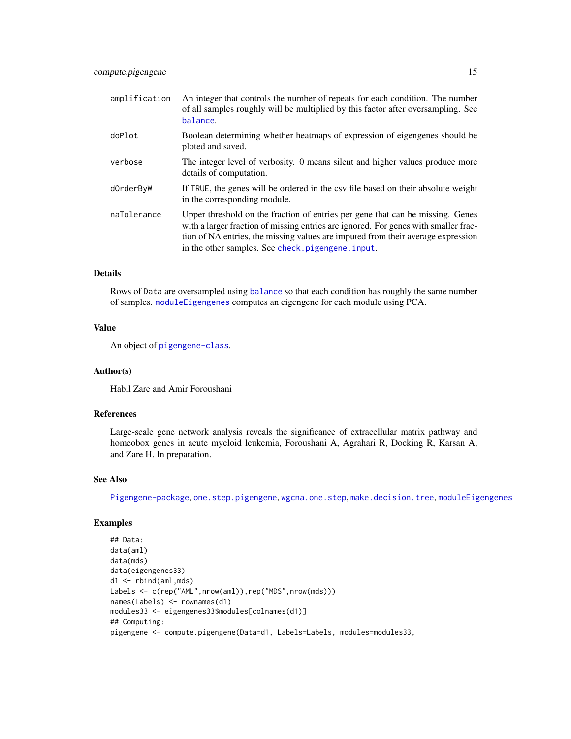<span id="page-14-0"></span>

| doPlot<br>ploted and saved.<br>verbose<br>details of computation.<br>dOrderByW<br>in the corresponding module.<br>naTolerance<br>in the other samples. See check.pigengene.input. | amplification | An integer that controls the number of repeats for each condition. The number<br>of all samples roughly will be multiplied by this factor after oversampling. See<br>balance.                                                                             |
|-----------------------------------------------------------------------------------------------------------------------------------------------------------------------------------|---------------|-----------------------------------------------------------------------------------------------------------------------------------------------------------------------------------------------------------------------------------------------------------|
|                                                                                                                                                                                   |               | Boolean determining whether heatmaps of expression of eigengenes should be                                                                                                                                                                                |
|                                                                                                                                                                                   |               | The integer level of verbosity. 0 means silent and higher values produce more                                                                                                                                                                             |
|                                                                                                                                                                                   |               | If TRUE, the genes will be ordered in the csy file based on their absolute weight                                                                                                                                                                         |
|                                                                                                                                                                                   |               | Upper threshold on the fraction of entries per gene that can be missing. Genes<br>with a larger fraction of missing entries are ignored. For genes with smaller frac-<br>tion of NA entries, the missing values are imputed from their average expression |

# Details

Rows of Data are oversampled using [balance](#page-5-1) so that each condition has roughly the same number of samples. [moduleEigengenes](#page-0-0) computes an eigengene for each module using PCA.

# Value

An object of [pigengene-class](#page-42-1).

#### Author(s)

Habil Zare and Amir Foroushani

#### References

Large-scale gene network analysis reveals the significance of extracellular matrix pathway and homeobox genes in acute myeloid leukemia, Foroushani A, Agrahari R, Docking R, Karsan A, and Zare H. In preparation.

#### See Also

[Pigengene-package](#page-2-1), [one.step.pigengene](#page-36-1), [wgcna.one.step](#page-50-1), [make.decision.tree](#page-30-1), [moduleEigengenes](#page-0-0)

# Examples

```
## Data:
data(aml)
data(mds)
data(eigengenes33)
d1 <- rbind(aml,mds)
Labels <- c(rep("AML",nrow(aml)),rep("MDS",nrow(mds)))
names(Labels) <- rownames(d1)
modules33 <- eigengenes33$modules[colnames(d1)]
## Computing:
pigengene <- compute.pigengene(Data=d1, Labels=Labels, modules=modules33,
```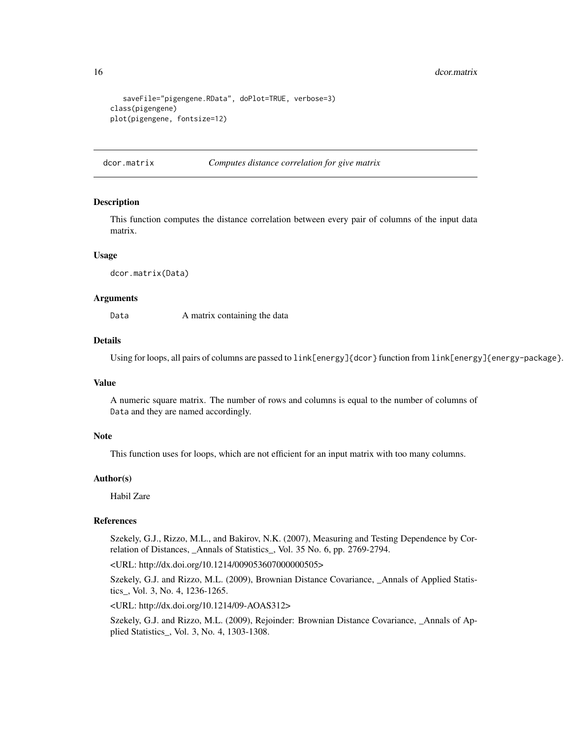#### <span id="page-15-0"></span>16 dcor.matrix

```
saveFile="pigengene.RData", doPlot=TRUE, verbose=3)
class(pigengene)
plot(pigengene, fontsize=12)
```
dcor.matrix *Computes distance correlation for give matrix*

#### Description

This function computes the distance correlation between every pair of columns of the input data matrix.

#### Usage

dcor.matrix(Data)

#### Arguments

Data A matrix containing the data

#### Details

Using for loops, all pairs of columns are passed to link[energy]{dcor} function from link[energy]{energy-package}.

#### Value

A numeric square matrix. The number of rows and columns is equal to the number of columns of Data and they are named accordingly.

# Note

This function uses for loops, which are not efficient for an input matrix with too many columns.

# Author(s)

Habil Zare

# References

Szekely, G.J., Rizzo, M.L., and Bakirov, N.K. (2007), Measuring and Testing Dependence by Correlation of Distances, \_Annals of Statistics\_, Vol. 35 No. 6, pp. 2769-2794.

<URL: http://dx.doi.org/10.1214/009053607000000505>

Szekely, G.J. and Rizzo, M.L. (2009), Brownian Distance Covariance, \_Annals of Applied Statistics\_, Vol. 3, No. 4, 1236-1265.

<URL: http://dx.doi.org/10.1214/09-AOAS312>

Szekely, G.J. and Rizzo, M.L. (2009), Rejoinder: Brownian Distance Covariance, \_Annals of Applied Statistics\_, Vol. 3, No. 4, 1303-1308.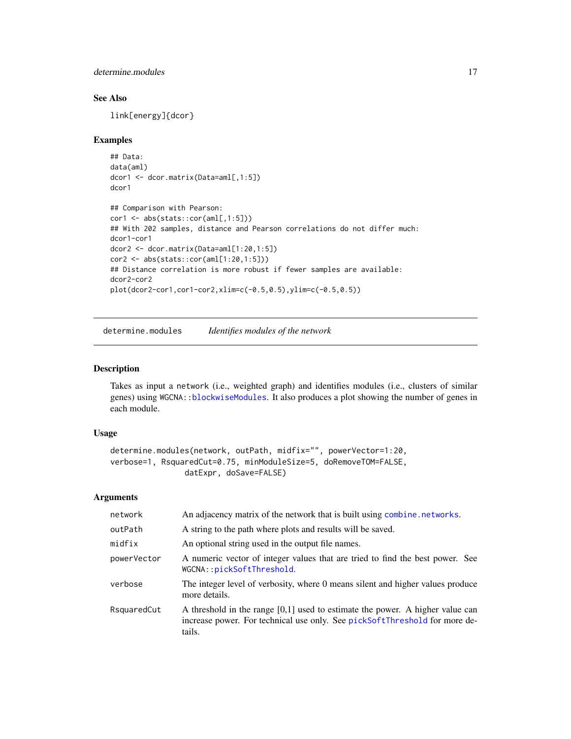<span id="page-16-0"></span>determine.modules 17

# See Also

link[energy]{dcor}

#### Examples

```
## Data:
data(aml)
dcor1 <- dcor.matrix(Data=aml[,1:5])
dcor1
## Comparison with Pearson:
cor1 <- abs(stats::cor(aml[,1:5]))
## With 202 samples, distance and Pearson correlations do not differ much:
dcor1-cor1
dcor2 <- dcor.matrix(Data=aml[1:20,1:5])
cor2 <- abs(stats::cor(aml[1:20,1:5]))
## Distance correlation is more robust if fewer samples are available:
dcor2-cor2
plot(dcor2-cor1,cor1-cor2,xlim=c(-0.5,0.5),ylim=c(-0.5,0.5))
```
<span id="page-16-1"></span>determine.modules *Identifies modules of the network*

# Description

Takes as input a network (i.e., weighted graph) and identifies modules (i.e., clusters of similar genes) using WGCNA:[:blockwiseModules](#page-0-0). It also produces a plot showing the number of genes in each module.

#### Usage

```
determine.modules(network, outPath, midfix="", powerVector=1:20,
verbose=1, RsquaredCut=0.75, minModuleSize=5, doRemoveTOM=FALSE,
                datExpr, doSave=FALSE)
```

| network     | An adjacency matrix of the network that is built using combine. networks.                                                                                               |
|-------------|-------------------------------------------------------------------------------------------------------------------------------------------------------------------------|
| outPath     | A string to the path where plots and results will be saved.                                                                                                             |
| midfix      | An optional string used in the output file names.                                                                                                                       |
| powerVector | A numeric vector of integer values that are tried to find the best power. See<br>WGCNA::pickSoftThreshold.                                                              |
| verbose     | The integer level of verbosity, where 0 means silent and higher values produce<br>more details.                                                                         |
| RsquaredCut | A threshold in the range $[0,1]$ used to estimate the power. A higher value can<br>increase power. For technical use only. See pickSoftThreshold for more de-<br>tails. |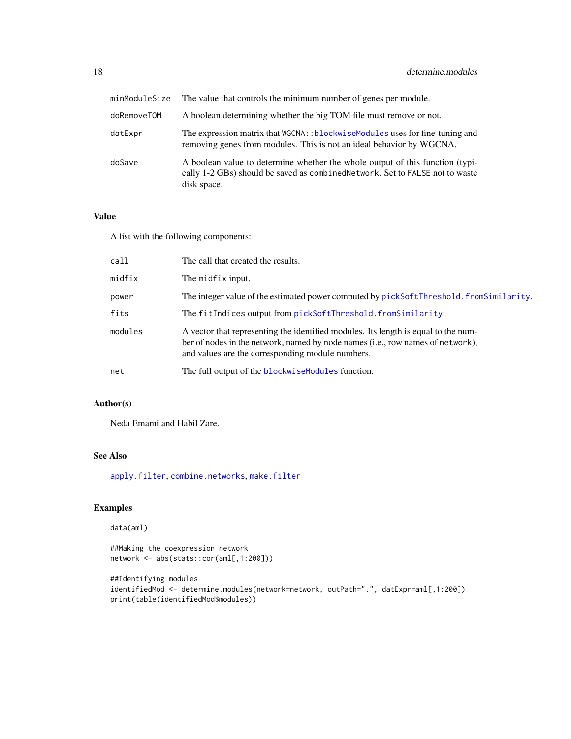<span id="page-17-0"></span>

| minModuleSize | The value that controls the minimum number of genes per module.                                                                                                               |
|---------------|-------------------------------------------------------------------------------------------------------------------------------------------------------------------------------|
| doRemoveTOM   | A boolean determining whether the big TOM file must remove or not.                                                                                                            |
| datExpr       | The expression matrix that WGCNA:: blockwiseModules uses for fine-tuning and<br>removing genes from modules. This is not an ideal behavior by WGCNA.                          |
| doSave        | A boolean value to determine whether the whole output of this function (typi-<br>cally 1-2 GBs) should be saved as combined Network. Set to FALSE not to waste<br>disk space. |

#### Value

A list with the following components:

| call    | The call that created the results.                                                                                                                                                                                       |
|---------|--------------------------------------------------------------------------------------------------------------------------------------------------------------------------------------------------------------------------|
| midfix  | The midfix input.                                                                                                                                                                                                        |
| power   | The integer value of the estimated power computed by pickSoftThreshold. fromSimilarity.                                                                                                                                  |
| fits    | The fitIndices output from pickSoftThreshold.fromSimilarity.                                                                                                                                                             |
| modules | A vector that representing the identified modules. Its length is equal to the num-<br>ber of nodes in the network, named by node names (i.e., row names of network),<br>and values are the corresponding module numbers. |
| net     | The full output of the blockwise Modules function.                                                                                                                                                                       |

# Author(s)

Neda Emami and Habil Zare.

# See Also

[apply.filter](#page-4-1), [combine.networks](#page-10-1), [make.filter](#page-32-1)

# Examples

```
data(aml)
```

```
##Making the coexpression network
network <- abs(stats::cor(aml[,1:200]))
```

```
##Identifying modules
identifiedMod <- determine.modules(network=network, outPath=".", datExpr=aml[,1:200])
print(table(identifiedMod$modules))
```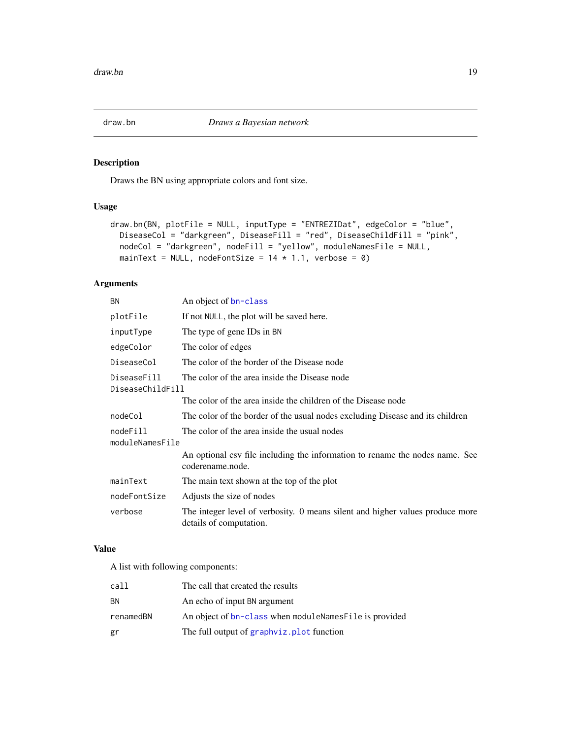<span id="page-18-0"></span>

# Description

Draws the BN using appropriate colors and font size.

# Usage

```
draw.bn(BN, plotFile = NULL, inputType = "ENTREZIDat", edgeColor = "blue",
 DiseaseCol = "darkgreen", DiseaseFill = "red", DiseaseChildFill = "pink",
  nodeCol = "darkgreen", nodeFill = "yellow", moduleNamesFile = NULL,
 mainText = NULL, nodeFontSize = 14 \times 1.1, verbose = 0)
```
# Arguments

| <b>BN</b>                                                                        | An object of bn-class                                                                                    |
|----------------------------------------------------------------------------------|----------------------------------------------------------------------------------------------------------|
| plotFile                                                                         | If not NULL, the plot will be saved here.                                                                |
| inputType                                                                        | The type of gene IDs in BN                                                                               |
| edgeColor                                                                        | The color of edges                                                                                       |
| DiseaseCol                                                                       | The color of the border of the Disease node                                                              |
| DiseaseFill<br>The color of the area inside the Disease node<br>DiseaseChildFill |                                                                                                          |
|                                                                                  | The color of the area inside the children of the Disease node                                            |
| nodeCol                                                                          | The color of the border of the usual nodes excluding Disease and its children                            |
| nodeFill<br>moduleNamesFile                                                      | The color of the area inside the usual nodes                                                             |
|                                                                                  | An optional csv file including the information to rename the nodes name. See<br>coderename.node.         |
| mainText                                                                         | The main text shown at the top of the plot                                                               |
| nodeFontSize                                                                     | Adjusts the size of nodes                                                                                |
| verbose                                                                          | The integer level of verbosity. 0 means silent and higher values produce more<br>details of computation. |

# Value

A list with following components:

| call      | The call that created the results                        |
|-----------|----------------------------------------------------------|
| ΒN        | An echo of input BN argument                             |
| renamedBN | An object of bn-class when module Names File is provided |
| gr        | The full output of graphyiz. plot function               |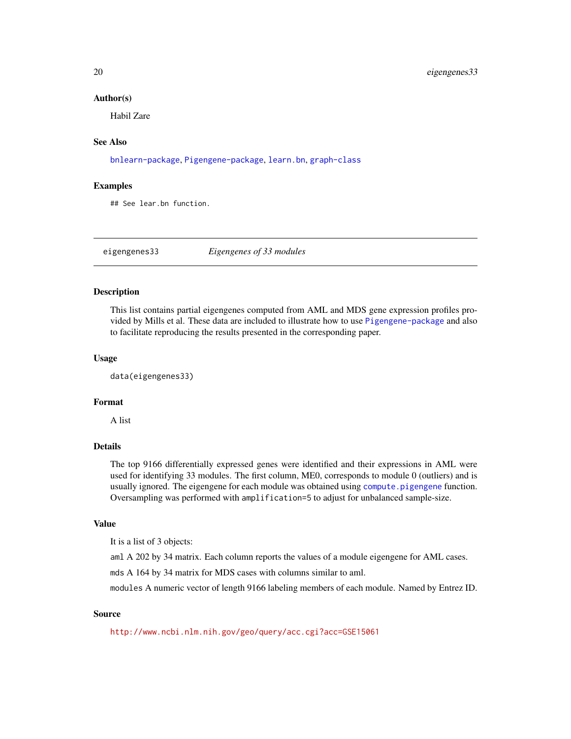#### <span id="page-19-0"></span>Author(s)

Habil Zare

# See Also

[bnlearn-package](#page-0-0), [Pigengene-package](#page-2-1), [learn.bn](#page-26-1), [graph-class](#page-0-0)

#### Examples

## See lear.bn function.

<span id="page-19-1"></span>eigengenes33 *Eigengenes of 33 modules*

# Description

This list contains partial eigengenes computed from AML and MDS gene expression profiles provided by Mills et al. These data are included to illustrate how to use [Pigengene-package](#page-2-1) and also to facilitate reproducing the results presented in the corresponding paper.

#### Usage

data(eigengenes33)

# Format

A list

# Details

The top 9166 differentially expressed genes were identified and their expressions in AML were used for identifying 33 modules. The first column, ME0, corresponds to module 0 (outliers) and is usually ignored. The eigengene for each module was obtained using [compute.pigengene](#page-13-1) function. Oversampling was performed with amplification=5 to adjust for unbalanced sample-size.

#### Value

It is a list of 3 objects:

aml A 202 by 34 matrix. Each column reports the values of a module eigengene for AML cases.

mds A 164 by 34 matrix for MDS cases with columns similar to aml.

modules A numeric vector of length 9166 labeling members of each module. Named by Entrez ID.

# Source

<http://www.ncbi.nlm.nih.gov/geo/query/acc.cgi?acc=GSE15061>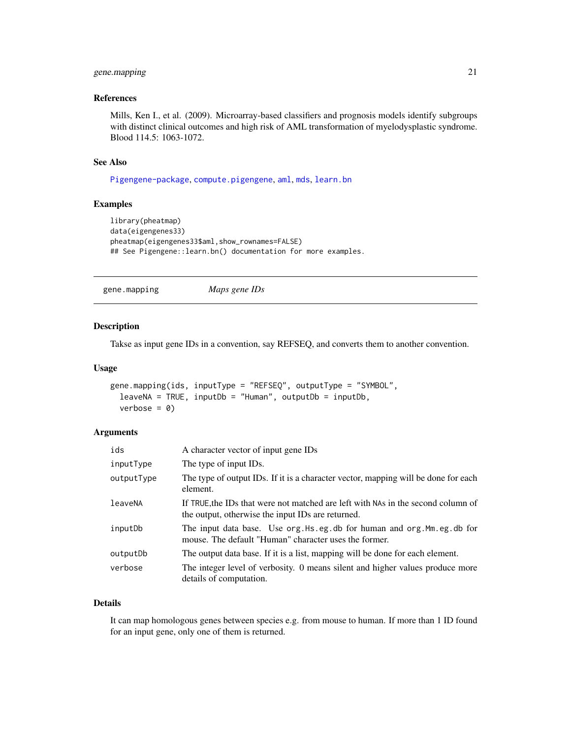# <span id="page-20-0"></span>gene.mapping 21

# References

Mills, Ken I., et al. (2009). Microarray-based classifiers and prognosis models identify subgroups with distinct clinical outcomes and high risk of AML transformation of myelodysplastic syndrome. Blood 114.5: 1063-1072.

#### See Also

[Pigengene-package](#page-2-1), [compute.pigengene](#page-13-1), [aml](#page-3-1), [mds](#page-33-1), [learn.bn](#page-26-1)

#### Examples

```
library(pheatmap)
data(eigengenes33)
pheatmap(eigengenes33$aml,show_rownames=FALSE)
## See Pigengene::learn.bn() documentation for more examples.
```

```
gene.mapping Maps gene IDs
```
#### Description

Takse as input gene IDs in a convention, say REFSEQ, and converts them to another convention.

#### Usage

```
gene.mapping(ids, inputType = "REFSEQ", outputType = "SYMBOL",
 leaves NA = TRUE, inputDb = "Human", outputDb = inputDb,verbose = 0
```
# Arguments

| ids        | A character vector of input gene IDs                                                                                                  |
|------------|---------------------------------------------------------------------------------------------------------------------------------------|
| inputType  | The type of input IDs.                                                                                                                |
| outputType | The type of output IDs. If it is a character vector, mapping will be done for each<br>element.                                        |
| leaveNA    | If TRUE, the IDs that were not matched are left with NAs in the second column of<br>the output, otherwise the input IDs are returned. |
| inputDb    | The input data base. Use org. Hs. eg. db for human and org. Mm. eg. db for<br>mouse. The default "Human" character uses the former.   |
| outputDb   | The output data base. If it is a list, mapping will be done for each element.                                                         |
| verbose    | The integer level of verbosity. 0 means silent and higher values produce more<br>details of computation.                              |

#### Details

It can map homologous genes between species e.g. from mouse to human. If more than 1 ID found for an input gene, only one of them is returned.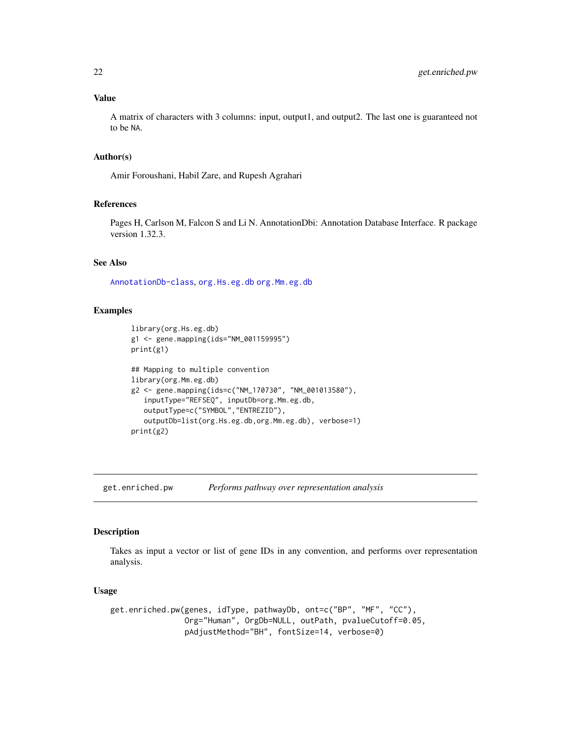#### <span id="page-21-0"></span>Value

A matrix of characters with 3 columns: input, output1, and output2. The last one is guaranteed not to be NA.

#### Author(s)

Amir Foroushani, Habil Zare, and Rupesh Agrahari

# References

Pages H, Carlson M, Falcon S and Li N. AnnotationDbi: Annotation Database Interface. R package version 1.32.3.

# See Also

[AnnotationDb-class](#page-0-0), [org.Hs.eg.db](#page-0-0) [org.Mm.eg.db](#page-0-0)

#### Examples

```
library(org.Hs.eg.db)
g1 <- gene.mapping(ids="NM_001159995")
print(g1)
## Mapping to multiple convention
library(org.Mm.eg.db)
g2 <- gene.mapping(ids=c("NM_170730", "NM_001013580"),
   inputType="REFSEQ", inputDb=org.Mm.eg.db,
   outputType=c("SYMBOL","ENTREZID"),
   outputDb=list(org.Hs.eg.db,org.Mm.eg.db), verbose=1)
print(g2)
```
<span id="page-21-1"></span>get.enriched.pw *Performs pathway over representation analysis*

#### Description

Takes as input a vector or list of gene IDs in any convention, and performs over representation analysis.

#### Usage

```
get.enriched.pw(genes, idType, pathwayDb, ont=c("BP", "MF", "CC"),
                Org="Human", OrgDb=NULL, outPath, pvalueCutoff=0.05,
                pAdjustMethod="BH", fontSize=14, verbose=0)
```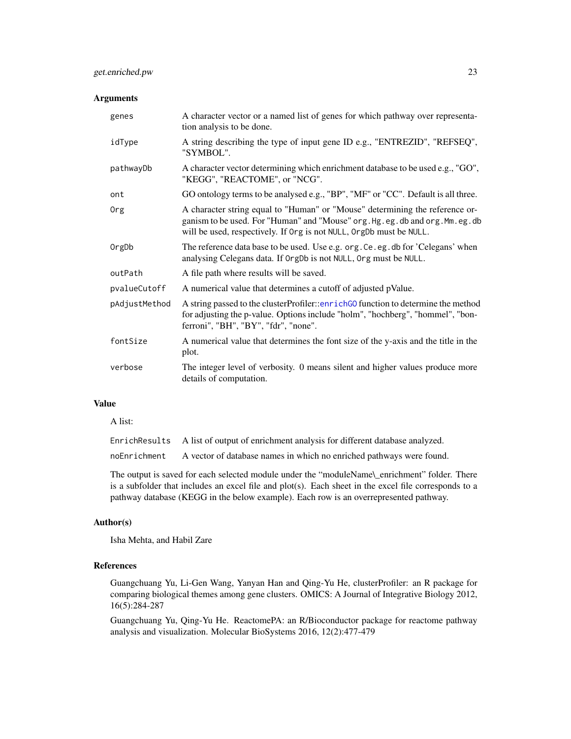# <span id="page-22-0"></span>Arguments

| genes         | A character vector or a named list of genes for which pathway over representa-<br>tion analysis to be done.                                                                                                                           |
|---------------|---------------------------------------------------------------------------------------------------------------------------------------------------------------------------------------------------------------------------------------|
| idType        | A string describing the type of input gene ID e.g., "ENTREZID", "REFSEQ",<br>"SYMBOL".                                                                                                                                                |
| pathwayDb     | A character vector determining which enrichment database to be used e.g., "GO",<br>"KEGG", "REACTOME", or "NCG".                                                                                                                      |
| ont           | GO ontology terms to be analysed e.g., "BP", "MF" or "CC". Default is all three.                                                                                                                                                      |
| Org           | A character string equal to "Human" or "Mouse" determining the reference or-<br>ganism to be used. For "Human" and "Mouse" org. Hg. eg. db and org. Mm. eg. db<br>will be used, respectively. If Org is not NULL, OrgDb must be NULL. |
| OrgDb         | The reference data base to be used. Use e.g. org. Ce. eg. db for 'Celegans' when<br>analysing Celegans data. If OrgDb is not NULL, Org must be NULL.                                                                                  |
| outPath       | A file path where results will be saved.                                                                                                                                                                                              |
| pvalueCutoff  | A numerical value that determines a cutoff of adjusted pValue.                                                                                                                                                                        |
| pAdjustMethod | A string passed to the clusterProfiler::enrichG0 function to determine the method<br>for adjusting the p-value. Options include "holm", "hochberg", "hommel", "bon-<br>ferroni", "BH", "BY", "fdr", "none".                           |
| fontSize      | A numerical value that determines the font size of the y-axis and the title in the<br>plot.                                                                                                                                           |
| verbose       | The integer level of verbosity. 0 means silent and higher values produce more<br>details of computation.                                                                                                                              |

# Value

A list:

| EnrichResults A list of output of enrichment analysis for different database analyzed. |
|----------------------------------------------------------------------------------------|
| noEnrichment A vector of database names in which no enriched pathways were found.      |

The output is saved for each selected module under the "moduleName\\_enrichment" folder. There is a subfolder that includes an excel file and plot(s). Each sheet in the excel file corresponds to a pathway database (KEGG in the below example). Each row is an overrepresented pathway.

# Author(s)

Isha Mehta, and Habil Zare

# References

Guangchuang Yu, Li-Gen Wang, Yanyan Han and Qing-Yu He, clusterProfiler: an R package for comparing biological themes among gene clusters. OMICS: A Journal of Integrative Biology 2012, 16(5):284-287

Guangchuang Yu, Qing-Yu He. ReactomePA: an R/Bioconductor package for reactome pathway analysis and visualization. Molecular BioSystems 2016, 12(2):477-479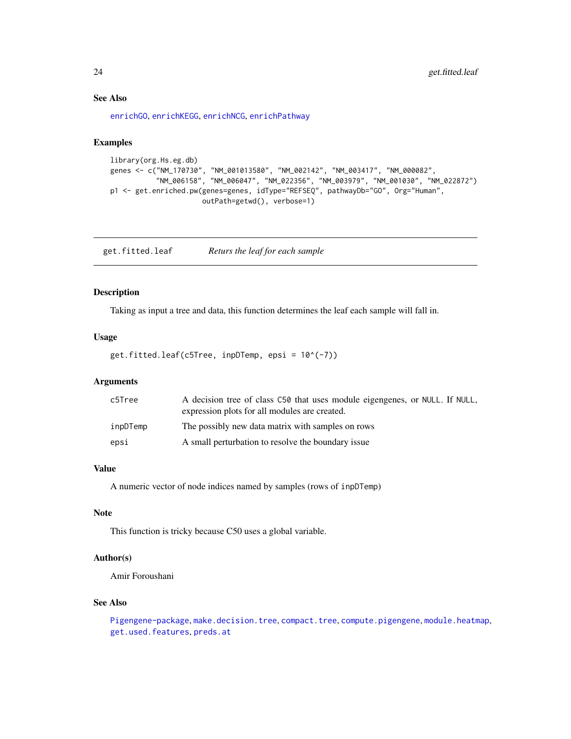# <span id="page-23-0"></span>See Also

[enrichGO](#page-0-0), [enrichKEGG](#page-0-0), [enrichNCG](#page-0-0), [enrichPathway](#page-0-0)

#### Examples

```
library(org.Hs.eg.db)
genes <- c("NM_170730", "NM_001013580", "NM_002142", "NM_003417", "NM_000082",
           "NM_006158", "NM_006047", "NM_022356", "NM_003979", "NM_001030", "NM_022872")
p1 <- get.enriched.pw(genes=genes, idType="REFSEQ", pathwayDb="GO", Org="Human",
                      outPath=getwd(), verbose=1)
```
<span id="page-23-1"></span>get.fitted.leaf *Returs the leaf for each sample*

# Description

Taking as input a tree and data, this function determines the leaf each sample will fall in.

# Usage

get.fitted.leaf(c5Tree, inpDTemp, epsi = 10^(-7))

#### Arguments

| c5Tree   | A decision tree of class C50 that uses module eigengenes, or NULL. If NULL,<br>expression plots for all modules are created. |
|----------|------------------------------------------------------------------------------------------------------------------------------|
| inpDTemp | The possibly new data matrix with samples on rows                                                                            |
| epsi     | A small perturbation to resolve the boundary issue                                                                           |

# Value

A numeric vector of node indices named by samples (rows of inpDTemp)

# Note

This function is tricky because C50 uses a global variable.

# Author(s)

Amir Foroushani

#### See Also

[Pigengene-package](#page-2-1), [make.decision.tree](#page-30-1), [compact.tree](#page-11-1), [compute.pigengene](#page-13-1), [module.heatmap](#page-35-1), [get.used.features](#page-25-1), [preds.at](#page-45-1)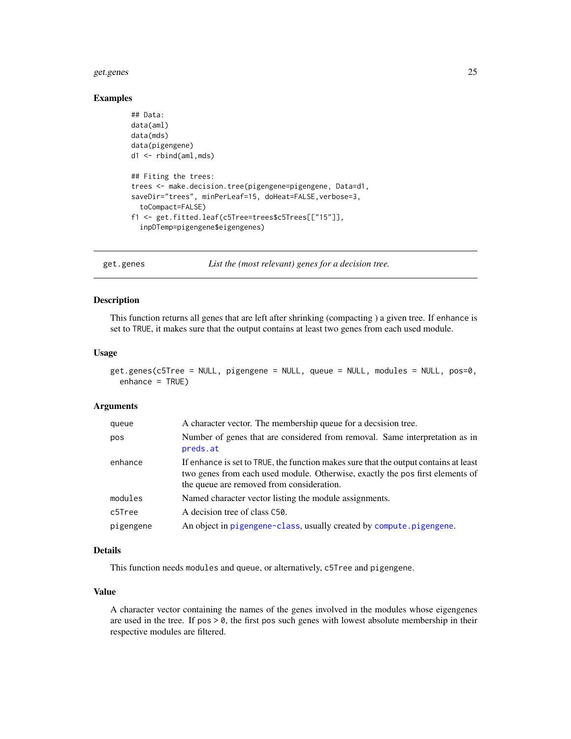#### <span id="page-24-0"></span>get.genes 25

#### Examples

```
## Data:
data(aml)
data(mds)
data(pigengene)
d1 <- rbind(aml,mds)
## Fiting the trees:
trees <- make.decision.tree(pigengene=pigengene, Data=d1,
saveDir="trees", minPerLeaf=15, doHeat=FALSE,verbose=3,
 toCompact=FALSE)
f1 <- get.fitted.leaf(c5Tree=trees$c5Trees[["15"]],
 inpDTemp=pigengene$eigengenes)
```
get.genes *List the (most relevant) genes for a decision tree.*

#### Description

This function returns all genes that are left after shrinking (compacting ) a given tree. If enhance is set to TRUE, it makes sure that the output contains at least two genes from each used module.

# Usage

```
get.genes(c5Tree = NULL, pigengene = NULL, queue = NULL, modules = NULL, pos=0,
 enhance = TRUE)
```
#### Arguments

| queue     | A character vector. The membership queue for a decsision tree.                                                                                                                                                     |
|-----------|--------------------------------------------------------------------------------------------------------------------------------------------------------------------------------------------------------------------|
| pos       | Number of genes that are considered from removal. Same interpretation as in<br>preds.at                                                                                                                            |
| enhance   | If enhance is set to TRUE, the function makes sure that the output contains at least<br>two genes from each used module. Otherwise, exactly the pos first elements of<br>the queue are removed from consideration. |
| modules   | Named character vector listing the module assignments.                                                                                                                                                             |
| c5Tree    | A decision tree of class C50.                                                                                                                                                                                      |
| pigengene | An object in pigengene-class, usually created by compute.pigengene.                                                                                                                                                |

#### Details

This function needs modules and queue, or alternatively, c5Tree and pigengene.

### Value

A character vector containing the names of the genes involved in the modules whose eigengenes are used in the tree. If  $pos \ge 0$ , the first pos such genes with lowest absolute membership in their respective modules are filtered.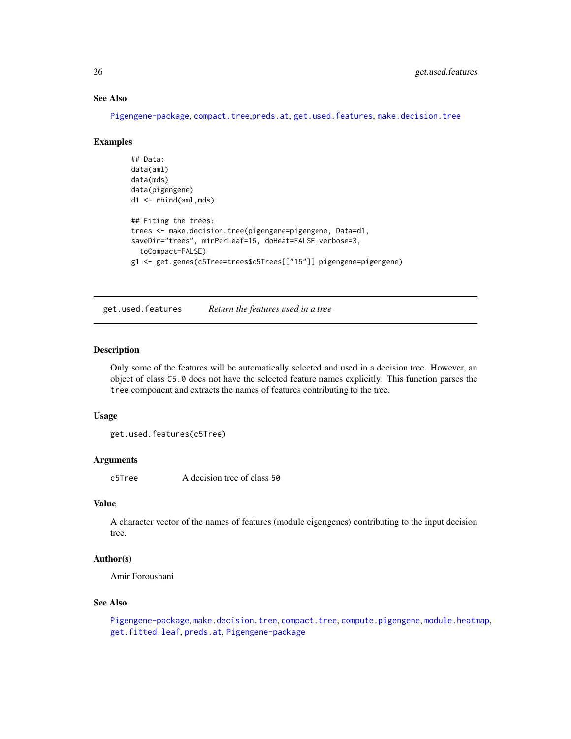# See Also

[Pigengene-package](#page-2-1), [compact.tree](#page-11-1),[preds.at](#page-45-1), [get.used.features](#page-25-1), [make.decision.tree](#page-30-1)

#### Examples

```
## Data:
data(aml)
data(mds)
data(pigengene)
d1 <- rbind(aml,mds)
## Fiting the trees:
trees <- make.decision.tree(pigengene=pigengene, Data=d1,
saveDir="trees", minPerLeaf=15, doHeat=FALSE,verbose=3,
 toCompact=FALSE)
g1 <- get.genes(c5Tree=trees$c5Trees[["15"]],pigengene=pigengene)
```
<span id="page-25-1"></span>get.used.features *Return the features used in a tree*

#### Description

Only some of the features will be automatically selected and used in a decision tree. However, an object of class C5.0 does not have the selected feature names explicitly. This function parses the tree component and extracts the names of features contributing to the tree.

#### Usage

```
get.used.features(c5Tree)
```
#### Arguments

c5Tree A decision tree of class 50

#### Value

A character vector of the names of features (module eigengenes) contributing to the input decision tree.

#### Author(s)

Amir Foroushani

#### See Also

[Pigengene-package](#page-2-1), [make.decision.tree](#page-30-1), [compact.tree](#page-11-1), [compute.pigengene](#page-13-1), [module.heatmap](#page-35-1), [get.fitted.leaf](#page-23-1), [preds.at](#page-45-1), [Pigengene-package](#page-2-1)

<span id="page-25-0"></span>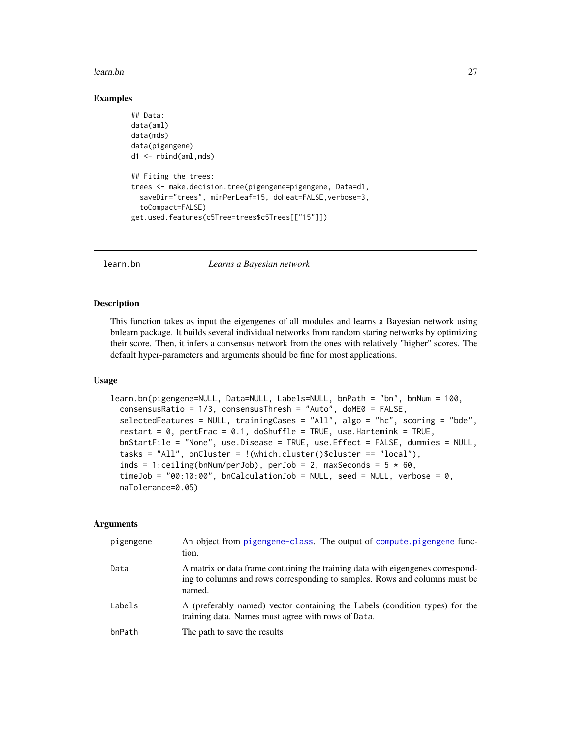#### <span id="page-26-0"></span>learn.bn 27

#### Examples

```
## Data:
data(aml)
data(mds)
data(pigengene)
d1 <- rbind(aml,mds)
## Fiting the trees:
trees <- make.decision.tree(pigengene=pigengene, Data=d1,
 saveDir="trees", minPerLeaf=15, doHeat=FALSE,verbose=3,
 toCompact=FALSE)
get.used.features(c5Tree=trees$c5Trees[["15"]])
```
<span id="page-26-1"></span>learn.bn *Learns a Bayesian network*

# **Description**

This function takes as input the eigengenes of all modules and learns a Bayesian network using bnlearn package. It builds several individual networks from random staring networks by optimizing their score. Then, it infers a consensus network from the ones with relatively "higher" scores. The default hyper-parameters and arguments should be fine for most applications.

#### Usage

```
learn.bn(pigengene=NULL, Data=NULL, Labels=NULL, bnPath = "bn", bnNum = 100,
  consensusRatio = 1/3, consensusThresh = "Auto", doME0 = FALSE,
  selectedFeatures = NULL, trainingCases = "All", algo = "hc", scoring = "bde",
  restart = 0, pertFrac = 0.1, doShuffle = TRUE, use.Hartemink = TRUE,
 bnStartFile = "None", use.Disease = TRUE, use.Effect = FALSE, dummies = NULL,
  tasks = "All", onCluster = !(which.cluster()$cluster == "local"),inds = 1:ceiling(bnNum/perJob), perJob = 2, maxSeconds = 5 * 60,
  timeJob = "00:10:00", bnCalculationJob = NULL, seed = NULL, verbose = 0,
  naTolerance=0.05)
```

| pigengene | An object from pigengene-class. The output of compute pigengene func-<br>tion.                                                                                          |
|-----------|-------------------------------------------------------------------------------------------------------------------------------------------------------------------------|
| Data      | A matrix or data frame containing the training data with eigengenes correspond-<br>ing to columns and rows corresponding to samples. Rows and columns must be<br>named. |
| Labels    | A (preferably named) vector containing the Labels (condition types) for the<br>training data. Names must agree with rows of Data.                                       |
| bnPath    | The path to save the results                                                                                                                                            |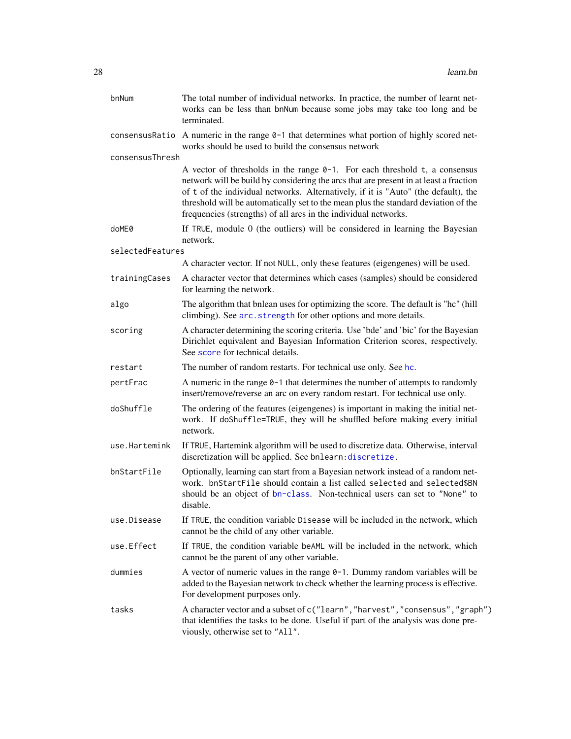<span id="page-27-0"></span>

| bnNum            | The total number of individual networks. In practice, the number of learnt net-<br>works can be less than bnNum because some jobs may take too long and be<br>terminated.                                                                                                                                                                                                                                             |
|------------------|-----------------------------------------------------------------------------------------------------------------------------------------------------------------------------------------------------------------------------------------------------------------------------------------------------------------------------------------------------------------------------------------------------------------------|
|                  | consensus Ratio A numeric in the range $0-1$ that determines what portion of highly scored net-<br>works should be used to build the consensus network                                                                                                                                                                                                                                                                |
| consensusThresh  |                                                                                                                                                                                                                                                                                                                                                                                                                       |
|                  | A vector of thresholds in the range $0-1$ . For each threshold t, a consensus<br>network will be build by considering the arcs that are present in at least a fraction<br>of t of the individual networks. Alternatively, if it is "Auto" (the default), the<br>threshold will be automatically set to the mean plus the standard deviation of the<br>frequencies (strengths) of all arcs in the individual networks. |
| doME0            | If TRUE, module 0 (the outliers) will be considered in learning the Bayesian<br>network.                                                                                                                                                                                                                                                                                                                              |
| selectedFeatures |                                                                                                                                                                                                                                                                                                                                                                                                                       |
|                  | A character vector. If not NULL, only these features (eigengenes) will be used.                                                                                                                                                                                                                                                                                                                                       |
| trainingCases    | A character vector that determines which cases (samples) should be considered<br>for learning the network.                                                                                                                                                                                                                                                                                                            |
| algo             | The algorithm that bnlean uses for optimizing the score. The default is "hc" (hill<br>climbing). See arc.strength for other options and more details.                                                                                                                                                                                                                                                                 |
| scoring          | A character determining the scoring criteria. Use 'bde' and 'bic' for the Bayesian<br>Dirichlet equivalent and Bayesian Information Criterion scores, respectively.<br>See score for technical details.                                                                                                                                                                                                               |
| restart          | The number of random restarts. For technical use only. See hc.                                                                                                                                                                                                                                                                                                                                                        |
| pertFrac         | A numeric in the range $\theta$ -1 that determines the number of attempts to randomly<br>insert/remove/reverse an arc on every random restart. For technical use only.                                                                                                                                                                                                                                                |
| doShuffle        | The ordering of the features (eigengenes) is important in making the initial net-<br>work. If doShuffle=TRUE, they will be shuffled before making every initial<br>network.                                                                                                                                                                                                                                           |
| use.Hartemink    | If TRUE, Hartemink algorithm will be used to discretize data. Otherwise, interval<br>discretization will be applied. See bnlearn: discretize.                                                                                                                                                                                                                                                                         |
| bnStartFile      | Optionally, learning can start from a Bayesian network instead of a random net-<br>work. bnStartFile should contain a list called selected and selected\$BN<br>should be an object of bn-class. Non-technical users can set to "None" to<br>disable.                                                                                                                                                                  |
| use.Disease      | If TRUE, the condition variable Disease will be included in the network, which<br>cannot be the child of any other variable.                                                                                                                                                                                                                                                                                          |
| use.Effect       | If TRUE, the condition variable beAML will be included in the network, which<br>cannot be the parent of any other variable.                                                                                                                                                                                                                                                                                           |
| dummies          | A vector of numeric values in the range $0-1$ . Dummy random variables will be<br>added to the Bayesian network to check whether the learning process is effective.<br>For development purposes only.                                                                                                                                                                                                                 |
| tasks            | A character vector and a subset of c("learn", "harvest", "consensus", "graph")<br>that identifies the tasks to be done. Useful if part of the analysis was done pre-<br>viously, otherwise set to "All".                                                                                                                                                                                                              |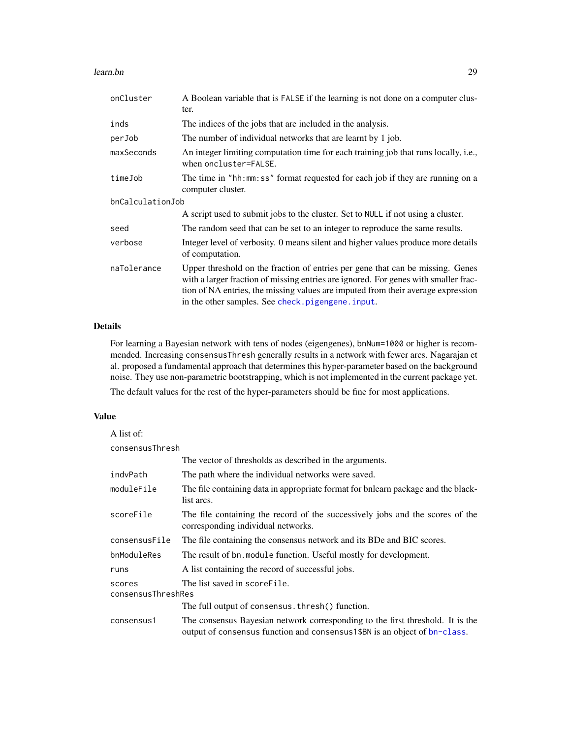#### <span id="page-28-0"></span>learn.bn 29

| onCluster        | A Boolean variable that is FALSE if the learning is not done on a computer clus-<br>ter.                                                                                                                                                                                                                        |  |
|------------------|-----------------------------------------------------------------------------------------------------------------------------------------------------------------------------------------------------------------------------------------------------------------------------------------------------------------|--|
| inds             | The indices of the jobs that are included in the analysis.                                                                                                                                                                                                                                                      |  |
| perJob           | The number of individual networks that are learnt by 1 job.                                                                                                                                                                                                                                                     |  |
| maxSeconds       | An integer limiting computation time for each training job that runs locally, i.e.,<br>when oncluster=FALSE.                                                                                                                                                                                                    |  |
| timeJob          | The time in "hh:mm:ss" format requested for each job if they are running on a<br>computer cluster.                                                                                                                                                                                                              |  |
| bnCalculationJob |                                                                                                                                                                                                                                                                                                                 |  |
|                  | A script used to submit jobs to the cluster. Set to NULL if not using a cluster.                                                                                                                                                                                                                                |  |
| seed             | The random seed that can be set to an integer to reproduce the same results.                                                                                                                                                                                                                                    |  |
| verbose          | Integer level of verbosity. 0 means silent and higher values produce more details<br>of computation.                                                                                                                                                                                                            |  |
| naTolerance      | Upper threshold on the fraction of entries per gene that can be missing. Genes<br>with a larger fraction of missing entries are ignored. For genes with smaller frac-<br>tion of NA entries, the missing values are imputed from their average expression<br>in the other samples. See check. pigengene. input. |  |

# Details

For learning a Bayesian network with tens of nodes (eigengenes), bnNum=1000 or higher is recommended. Increasing consensusThresh generally results in a network with fewer arcs. Nagarajan et al. proposed a fundamental approach that determines this hyper-parameter based on the background noise. They use non-parametric bootstrapping, which is not implemented in the current package yet.

The default values for the rest of the hyper-parameters should be fine for most applications.

#### Value

| A list of:                   |                                                                                                                                                               |
|------------------------------|---------------------------------------------------------------------------------------------------------------------------------------------------------------|
| consensusThresh              |                                                                                                                                                               |
|                              | The vector of thresholds as described in the arguments.                                                                                                       |
| indvPath                     | The path where the individual networks were saved.                                                                                                            |
| moduleFile                   | The file containing data in appropriate format for bnlearn package and the black-<br>list arcs.                                                               |
| scoreFile                    | The file containing the record of the successively jobs and the scores of the<br>corresponding individual networks.                                           |
| consensusFile                | The file containing the consensus network and its BDe and BIC scores.                                                                                         |
| bnModuleRes                  | The result of bn. module function. Useful mostly for development.                                                                                             |
| runs                         | A list containing the record of successful jobs.                                                                                                              |
| scores<br>consensusThreshRes | The list saved in scoreFile.                                                                                                                                  |
|                              | The full output of consensus. thresh() function.                                                                                                              |
| consensus1                   | The consensus Bayesian network corresponding to the first threshold. It is the<br>output of consensus function and consensus 1 \$BN is an object of bn-class. |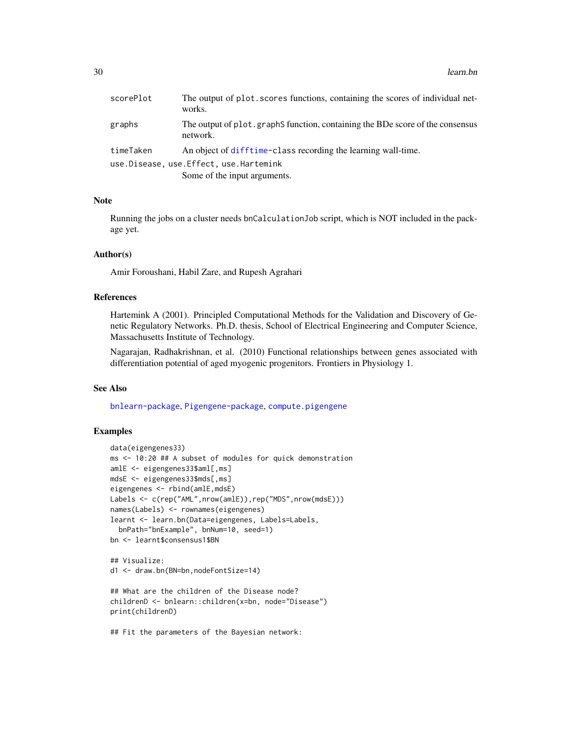<span id="page-29-0"></span>

| scorePlot | The output of plot. scores functions, containing the scores of individual net-<br>works.   |
|-----------|--------------------------------------------------------------------------------------------|
| graphs    | The output of plot, graphS function, containing the BDe score of the consensus<br>network. |
| timeTaken | An object of difftime-class recording the learning wall-time.                              |
|           | use.Disease, use.Effect, use.Hartemink                                                     |
|           | Some of the input arguments.                                                               |

# Note

Running the jobs on a cluster needs bnCalculationJob script, which is NOT included in the package yet.

#### Author(s)

Amir Foroushani, Habil Zare, and Rupesh Agrahari

#### References

Hartemink A (2001). Principled Computational Methods for the Validation and Discovery of Genetic Regulatory Networks. Ph.D. thesis, School of Electrical Engineering and Computer Science, Massachusetts Institute of Technology.

Nagarajan, Radhakrishnan, et al. (2010) Functional relationships between genes associated with differentiation potential of aged myogenic progenitors. Frontiers in Physiology 1.

#### See Also

[bnlearn-package](#page-0-0), [Pigengene-package](#page-2-1), [compute.pigengene](#page-13-1)

#### Examples

```
data(eigengenes33)
ms <- 10:20 ## A subset of modules for quick demonstration
amlE <- eigengenes33$aml[,ms]
mdsE <- eigengenes33$mds[,ms]
eigengenes <- rbind(amlE,mdsE)
Labels <- c(rep("AML",nrow(amlE)),rep("MDS",nrow(mdsE)))
names(Labels) <- rownames(eigengenes)
learnt <- learn.bn(Data=eigengenes, Labels=Labels,
  bnPath="bnExample", bnNum=10, seed=1)
bn <- learnt$consensus1$BN
## Visualize:
d1 <- draw.bn(BN=bn,nodeFontSize=14)
## What are the children of the Disease node?
childrenD <- bnlearn::children(x=bn, node="Disease")
print(childrenD)
```
## Fit the parameters of the Bayesian network: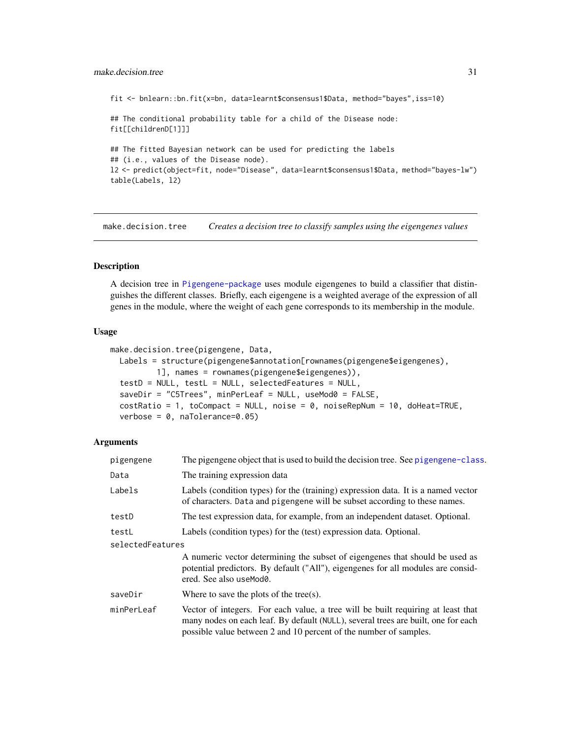#### <span id="page-30-0"></span>make.decision.tree 31

fit <- bnlearn::bn.fit(x=bn, data=learnt\$consensus1\$Data, method="bayes",iss=10)

## The conditional probability table for a child of the Disease node: fit[[childrenD[1]]]

## The fitted Bayesian network can be used for predicting the labels ## (i.e., values of the Disease node). l2 <- predict(object=fit, node="Disease", data=learnt\$consensus1\$Data, method="bayes-lw") table(Labels, l2)

<span id="page-30-1"></span>make.decision.tree *Creates a decision tree to classify samples using the eigengenes values*

# Description

A decision tree in [Pigengene-package](#page-2-1) uses module eigengenes to build a classifier that distinguishes the different classes. Briefly, each eigengene is a weighted average of the expression of all genes in the module, where the weight of each gene corresponds to its membership in the module.

#### Usage

```
make.decision.tree(pigengene, Data,
 Labels = structure(pigengene$annotation[rownames(pigengene$eigengenes),
          1], names = rownames(pigengene$eigengenes)),
  testD = NULL, testL = NULL, selectedFeatures = NULL,
  saveDir = "C5Trees", minPerLeaf = NULL, useMod0 = FALSE,
  costRatio = 1, toCompact = NULL, noise = 0, noiseRepNum = 10, doHeat=TRUE,
  verbose = 0, naTolerance=0.05)
```

| pigengene        | The pigengene object that is used to build the decision tree. See pigengene-class.                                                                                                                                                         |
|------------------|--------------------------------------------------------------------------------------------------------------------------------------------------------------------------------------------------------------------------------------------|
| Data             | The training expression data                                                                                                                                                                                                               |
| Labels           | Labels (condition types) for the (training) expression data. It is a named vector<br>of characters. Data and pigengene will be subset according to these names.                                                                            |
| testD            | The test expression data, for example, from an independent dataset. Optional.                                                                                                                                                              |
| testL            | Labels (condition types) for the (test) expression data. Optional.                                                                                                                                                                         |
| selectedFeatures |                                                                                                                                                                                                                                            |
|                  | A numeric vector determining the subset of eigengenes that should be used as<br>potential predictors. By default ("All"), eigengenes for all modules are consid-<br>ered. See also useMod0.                                                |
| saveDir          | Where to save the plots of the tree(s).                                                                                                                                                                                                    |
| minPerLeaf       | Vector of integers. For each value, a tree will be built requiring at least that<br>many nodes on each leaf. By default (NULL), several trees are built, one for each<br>possible value between 2 and 10 percent of the number of samples. |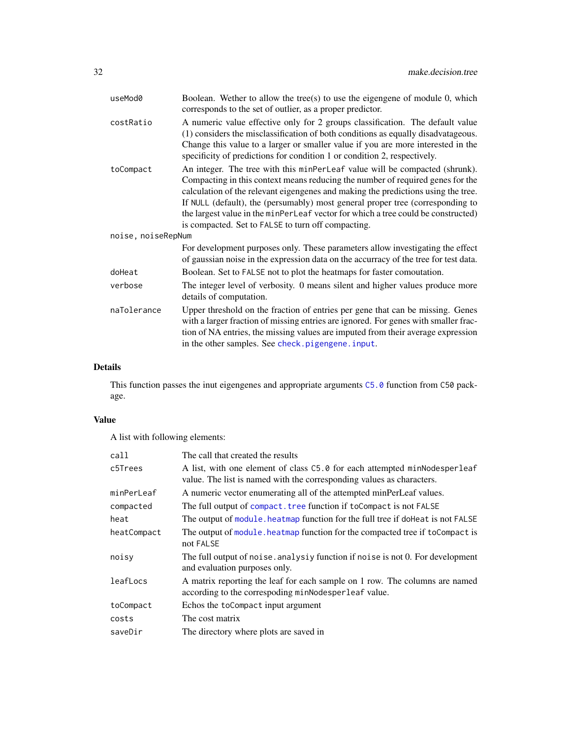<span id="page-31-0"></span>

| Boolean. Wether to allow the tree(s) to use the eigengene of module $0$ , which<br>corresponds to the set of outlier, as a proper predictor.                                                                                                                                                                                                                                                                                                                                    |  |  |
|---------------------------------------------------------------------------------------------------------------------------------------------------------------------------------------------------------------------------------------------------------------------------------------------------------------------------------------------------------------------------------------------------------------------------------------------------------------------------------|--|--|
| A numeric value effective only for 2 groups classification. The default value<br>(1) considers the misclassification of both conditions as equally disadvatageous.<br>Change this value to a larger or smaller value if you are more interested in the<br>specificity of predictions for condition 1 or condition 2, respectively.                                                                                                                                              |  |  |
| An integer. The tree with this minPerLeaf value will be compacted (shrunk).<br>Compacting in this context means reducing the number of required genes for the<br>calculation of the relevant eigengenes and making the predictions using the tree.<br>If NULL (default), the (persumably) most general proper tree (corresponding to<br>the largest value in the minPerLeaf vector for which a tree could be constructed)<br>is compacted. Set to FALSE to turn off compacting. |  |  |
| noise, noiseRepNum                                                                                                                                                                                                                                                                                                                                                                                                                                                              |  |  |
| For development purposes only. These parameters allow investigating the effect<br>of gaussian noise in the expression data on the accurracy of the tree for test data.                                                                                                                                                                                                                                                                                                          |  |  |
| Boolean. Set to FALSE not to plot the heatmaps for faster comoutation.                                                                                                                                                                                                                                                                                                                                                                                                          |  |  |
| The integer level of verbosity. 0 means silent and higher values produce more<br>details of computation.                                                                                                                                                                                                                                                                                                                                                                        |  |  |
| Upper threshold on the fraction of entries per gene that can be missing. Genes<br>with a larger fraction of missing entries are ignored. For genes with smaller frac-<br>tion of NA entries, the missing values are imputed from their average expression<br>in the other samples. See check.pigengene.input.                                                                                                                                                                   |  |  |
|                                                                                                                                                                                                                                                                                                                                                                                                                                                                                 |  |  |

# Details

This function passes the inut eigengenes and appropriate arguments [C5.0](#page-0-0) function from C50 package.

# Value

A list with following elements:

| call        | The call that created the results                                                                                                                  |
|-------------|----------------------------------------------------------------------------------------------------------------------------------------------------|
| c5Trees     | A list, with one element of class C5.0 for each attempted minNodesperleaf<br>value. The list is named with the corresponding values as characters. |
| minPerLeaf  | A numeric vector enumerating all of the attempted minPerLeaf values.                                                                               |
| compacted   | The full output of compact. tree function if to Compact is not FALSE                                                                               |
| heat        | The output of module, heatmap function for the full tree if do Heat is not FALSE                                                                   |
| heatCompact | The output of module, heatmap function for the compacted tree if to Compact is<br>not FALSE                                                        |
| noisv       | The full output of noise, analysiy function if noise is not 0. For development<br>and evaluation purposes only.                                    |
| leafLocs    | A matrix reporting the leaf for each sample on 1 row. The columns are named<br>according to the correspoding minNodesperleaf value.                |
| toCompact   | Echos the toCompact input argument                                                                                                                 |
| costs       | The cost matrix                                                                                                                                    |
| saveDir     | The directory where plots are saved in                                                                                                             |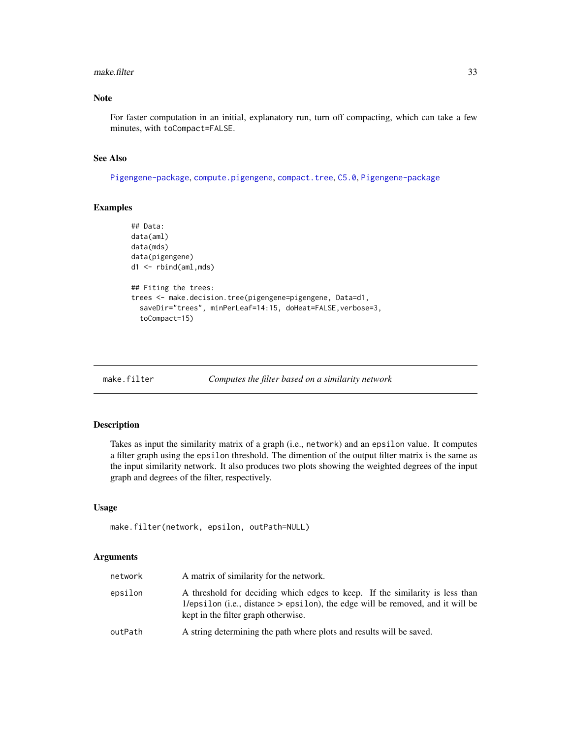#### <span id="page-32-0"></span>make.filter 33

# Note

For faster computation in an initial, explanatory run, turn off compacting, which can take a few minutes, with toCompact=FALSE.

# See Also

[Pigengene-package](#page-2-1), [compute.pigengene](#page-13-1), [compact.tree](#page-11-1), [C5.0](#page-0-0), [Pigengene-package](#page-2-1)

# Examples

```
## Data:
data(aml)
data(mds)
data(pigengene)
d1 <- rbind(aml,mds)
## Fiting the trees:
trees <- make.decision.tree(pigengene=pigengene, Data=d1,
  saveDir="trees", minPerLeaf=14:15, doHeat=FALSE,verbose=3,
  toCompact=15)
```
<span id="page-32-1"></span>

```
make.filter Computes the filter based on a similarity network
```
#### Description

Takes as input the similarity matrix of a graph (i.e., network) and an epsilon value. It computes a filter graph using the epsilon threshold. The dimention of the output filter matrix is the same as the input similarity network. It also produces two plots showing the weighted degrees of the input graph and degrees of the filter, respectively.

# Usage

```
make.filter(network, epsilon, outPath=NULL)
```

| network | A matrix of similarity for the network.                                                                                                                                                                 |
|---------|---------------------------------------------------------------------------------------------------------------------------------------------------------------------------------------------------------|
| epsilon | A threshold for deciding which edges to keep. If the similarity is less than<br>1/epsilon (i.e., distance $>$ epsilon), the edge will be removed, and it will be<br>kept in the filter graph otherwise. |
| outPath | A string determining the path where plots and results will be saved.                                                                                                                                    |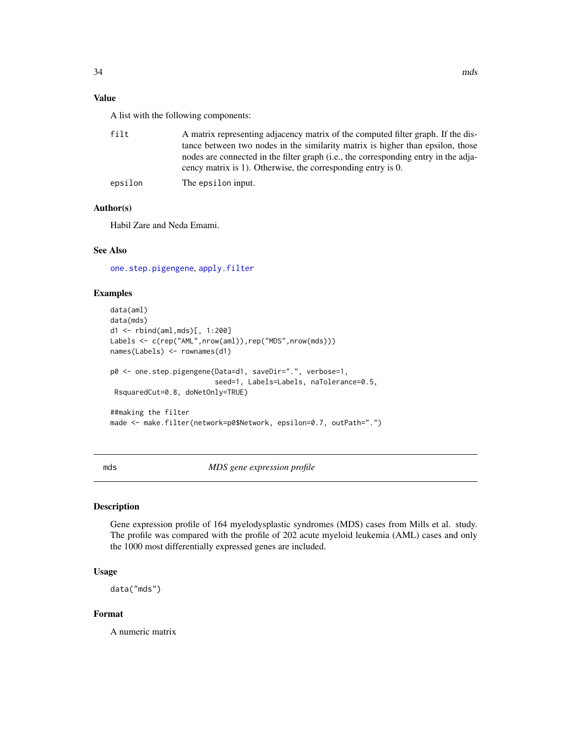# <span id="page-33-0"></span>Value

A list with the following components:

| filt    | A matrix representing adjacency matrix of the computed filter graph. If the dis-<br>tance between two nodes in the similarity matrix is higher than epsilon, those<br>nodes are connected in the filter graph (i.e., the corresponding entry in the adja-<br>cency matrix is 1). Otherwise, the corresponding entry is 0. |
|---------|---------------------------------------------------------------------------------------------------------------------------------------------------------------------------------------------------------------------------------------------------------------------------------------------------------------------------|
| epsilon | The epsilon input.                                                                                                                                                                                                                                                                                                        |

# Author(s)

Habil Zare and Neda Emami.

# See Also

[one.step.pigengene](#page-36-1), [apply.filter](#page-4-1)

# Examples

```
data(aml)
data(mds)
d1 <- rbind(aml,mds)[, 1:200]
Labels <- c(rep("AML",nrow(aml)),rep("MDS",nrow(mds)))
names(Labels) <- rownames(d1)
p0 <- one.step.pigengene(Data=d1, saveDir=".", verbose=1,
                         seed=1, Labels=Labels, naTolerance=0.5,
 RsquaredCut=0.8, doNetOnly=TRUE)
##making the filter
made <- make.filter(network=p0$Network, epsilon=0.7, outPath=".")
```
<span id="page-33-1"></span>mds *MDS gene expression profile*

#### Description

Gene expression profile of 164 myelodysplastic syndromes (MDS) cases from Mills et al. study. The profile was compared with the profile of 202 acute myeloid leukemia (AML) cases and only the 1000 most differentially expressed genes are included.

#### Usage

data("mds")

#### Format

A numeric matrix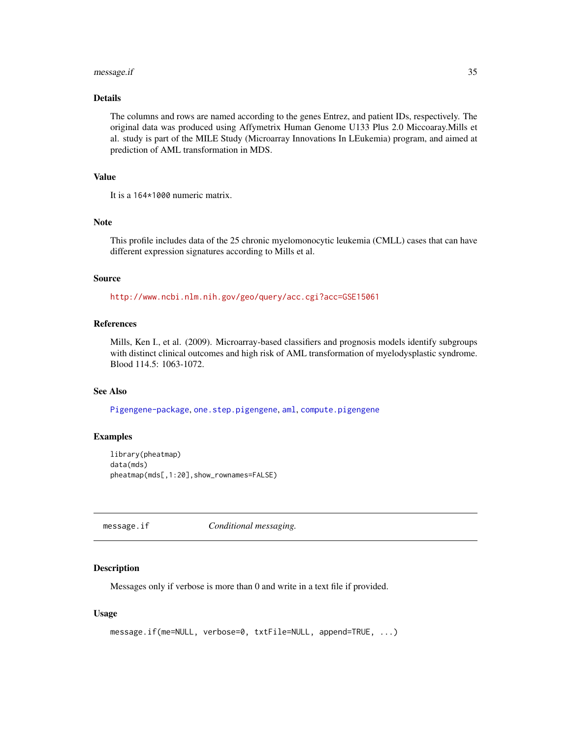#### <span id="page-34-0"></span>message.if 35

# Details

The columns and rows are named according to the genes Entrez, and patient IDs, respectively. The original data was produced using Affymetrix Human Genome U133 Plus 2.0 Miccoaray.Mills et al. study is part of the MILE Study (Microarray Innovations In LEukemia) program, and aimed at prediction of AML transformation in MDS.

#### Value

It is a 164\*1000 numeric matrix.

# Note

This profile includes data of the 25 chronic myelomonocytic leukemia (CMLL) cases that can have different expression signatures according to Mills et al.

#### Source

<http://www.ncbi.nlm.nih.gov/geo/query/acc.cgi?acc=GSE15061>

# References

Mills, Ken I., et al. (2009). Microarray-based classifiers and prognosis models identify subgroups with distinct clinical outcomes and high risk of AML transformation of myelodysplastic syndrome. Blood 114.5: 1063-1072.

#### See Also

[Pigengene-package](#page-2-1), [one.step.pigengene](#page-36-1), [aml](#page-3-1), [compute.pigengene](#page-13-1)

#### Examples

```
library(pheatmap)
data(mds)
pheatmap(mds[,1:20],show_rownames=FALSE)
```
<span id="page-34-1"></span>message.if *Conditional messaging.*

#### Description

Messages only if verbose is more than 0 and write in a text file if provided.

#### Usage

```
message.if(me=NULL, verbose=0, txtFile=NULL, append=TRUE, ...)
```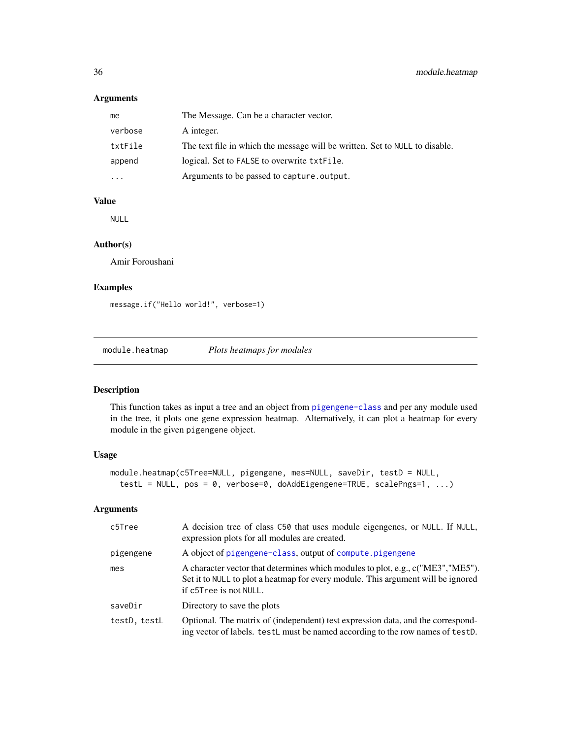# <span id="page-35-0"></span>Arguments

| me      | The Message. Can be a character vector.                                     |
|---------|-----------------------------------------------------------------------------|
| verbose | A integer.                                                                  |
| txtFile | The text file in which the message will be written. Set to NULL to disable. |
| append  | logical. Set to FALSE to overwrite txtFile.                                 |
|         | Arguments to be passed to capture.output.                                   |

# Value

NULL

# Author(s)

Amir Foroushani

# Examples

message.if("Hello world!", verbose=1)

<span id="page-35-1"></span>module.heatmap *Plots heatmaps for modules*

# Description

This function takes as input a tree and an object from [pigengene-class](#page-42-1) and per any module used in the tree, it plots one gene expression heatmap. Alternatively, it can plot a heatmap for every module in the given pigengene object.

#### Usage

```
module.heatmap(c5Tree=NULL, pigengene, mes=NULL, saveDir, testD = NULL,
  testL = NULL, pos = 0, verbose=0, doAddEigengene=TRUE, scalePngs=1, ...)
```

| c5Tree       | A decision tree of class C50 that uses module eigengenes, or NULL. If NULL,<br>expression plots for all modules are created.                                                                  |
|--------------|-----------------------------------------------------------------------------------------------------------------------------------------------------------------------------------------------|
| pigengene    | A object of pigengene-class, output of compute pigengene                                                                                                                                      |
| mes          | A character vector that determines which modules to plot, e.g., c("ME3","ME5").<br>Set it to NULL to plot a heatmap for every module. This argument will be ignored<br>if c5Tree is not NULL. |
| saveDir      | Directory to save the plots                                                                                                                                                                   |
| testD, testL | Optional. The matrix of (independent) test expression data, and the correspond-<br>ing vector of labels. testL must be named according to the row names of testD.                             |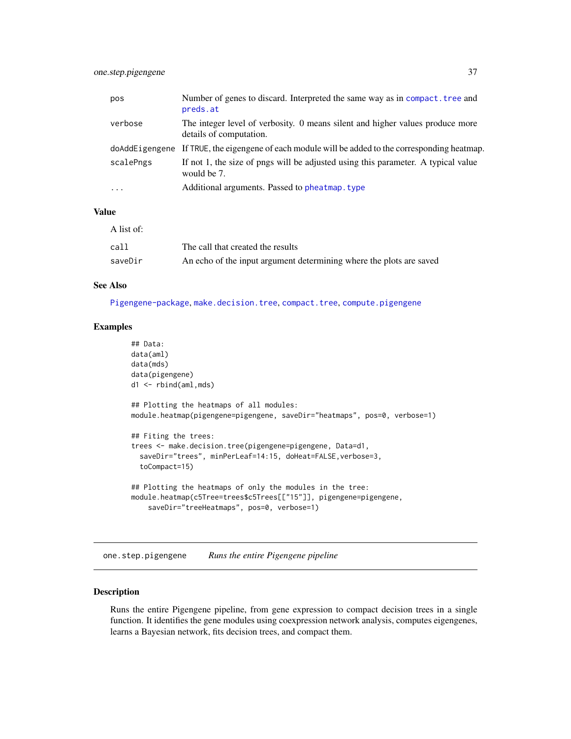<span id="page-36-0"></span>

| pos       | Number of genes to discard. Interpreted the same way as in compact. tree and<br>preds.at                 |
|-----------|----------------------------------------------------------------------------------------------------------|
| verbose   | The integer level of verbosity. 0 means silent and higher values produce more<br>details of computation. |
|           | doAddEigengene If TRUE, the eigengene of each module will be added to the corresponding heatmap.         |
| scalePngs | If not 1, the size of pngs will be adjusted using this parameter. A typical value<br>would be 7.         |
| $\cdot$   | Additional arguments. Passed to pheatmap. type                                                           |

# Value

| A list of: |                                                                     |
|------------|---------------------------------------------------------------------|
| call       | The call that created the results                                   |
| saveDir    | An echo of the input argument determining where the plots are saved |

# See Also

[Pigengene-package](#page-2-1), [make.decision.tree](#page-30-1), [compact.tree](#page-11-1), [compute.pigengene](#page-13-1)

#### Examples

```
## Data:
data(aml)
data(mds)
data(pigengene)
d1 <- rbind(aml,mds)
## Plotting the heatmaps of all modules:
module.heatmap(pigengene=pigengene, saveDir="heatmaps", pos=0, verbose=1)
## Fiting the trees:
trees <- make.decision.tree(pigengene=pigengene, Data=d1,
  saveDir="trees", minPerLeaf=14:15, doHeat=FALSE,verbose=3,
  toCompact=15)
## Plotting the heatmaps of only the modules in the tree:
module.heatmap(c5Tree=trees$c5Trees[["15"]], pigengene=pigengene,
    saveDir="treeHeatmaps", pos=0, verbose=1)
```
<span id="page-36-1"></span>one.step.pigengene *Runs the entire Pigengene pipeline*

# Description

Runs the entire Pigengene pipeline, from gene expression to compact decision trees in a single function. It identifies the gene modules using coexpression network analysis, computes eigengenes, learns a Bayesian network, fits decision trees, and compact them.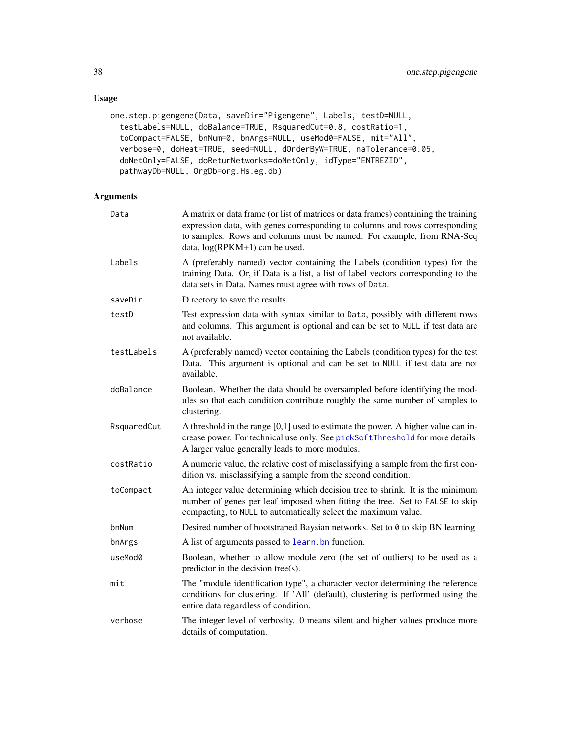# Usage

```
one.step.pigengene(Data, saveDir="Pigengene", Labels, testD=NULL,
 testLabels=NULL, doBalance=TRUE, RsquaredCut=0.8, costRatio=1,
  toCompact=FALSE, bnNum=0, bnArgs=NULL, useMod0=FALSE, mit="All",
 verbose=0, doHeat=TRUE, seed=NULL, dOrderByW=TRUE, naTolerance=0.05,
 doNetOnly=FALSE, doReturNetworks=doNetOnly, idType="ENTREZID",
 pathwayDb=NULL, OrgDb=org.Hs.eg.db)
```

| Data        | A matrix or data frame (or list of matrices or data frames) containing the training<br>expression data, with genes corresponding to columns and rows corresponding<br>to samples. Rows and columns must be named. For example, from RNA-Seq<br>data, $log(RPKM+1)$ can be used. |
|-------------|---------------------------------------------------------------------------------------------------------------------------------------------------------------------------------------------------------------------------------------------------------------------------------|
| Labels      | A (preferably named) vector containing the Labels (condition types) for the<br>training Data. Or, if Data is a list, a list of label vectors corresponding to the<br>data sets in Data. Names must agree with rows of Data.                                                     |
| saveDir     | Directory to save the results.                                                                                                                                                                                                                                                  |
| testD       | Test expression data with syntax similar to Data, possibly with different rows<br>and columns. This argument is optional and can be set to NULL if test data are<br>not available.                                                                                              |
| testLabels  | A (preferably named) vector containing the Labels (condition types) for the test<br>Data. This argument is optional and can be set to NULL if test data are not<br>available.                                                                                                   |
| doBalance   | Boolean. Whether the data should be oversampled before identifying the mod-<br>ules so that each condition contribute roughly the same number of samples to<br>clustering.                                                                                                      |
| RsquaredCut | A threshold in the range $[0,1]$ used to estimate the power. A higher value can in-<br>crease power. For technical use only. See pickSoftThreshold for more details.<br>A larger value generally leads to more modules.                                                         |
| costRatio   | A numeric value, the relative cost of misclassifying a sample from the first con-<br>dition vs. misclassifying a sample from the second condition.                                                                                                                              |
| toCompact   | An integer value determining which decision tree to shrink. It is the minimum<br>number of genes per leaf imposed when fitting the tree. Set to FALSE to skip<br>compacting, to NULL to automatically select the maximum value.                                                 |
| bnNum       | Desired number of bootstraped Baysian networks. Set to 0 to skip BN learning.                                                                                                                                                                                                   |
| bnArgs      | A list of arguments passed to learn, bn function.                                                                                                                                                                                                                               |
| useMod0     | Boolean, whether to allow module zero (the set of outliers) to be used as a<br>predictor in the decision tree(s).                                                                                                                                                               |
| mit         | The "module identification type", a character vector determining the reference<br>conditions for clustering. If 'All' (default), clustering is performed using the<br>entire data regardless of condition.                                                                      |
| verbose     | The integer level of verbosity. 0 means silent and higher values produce more<br>details of computation.                                                                                                                                                                        |

<span id="page-37-0"></span>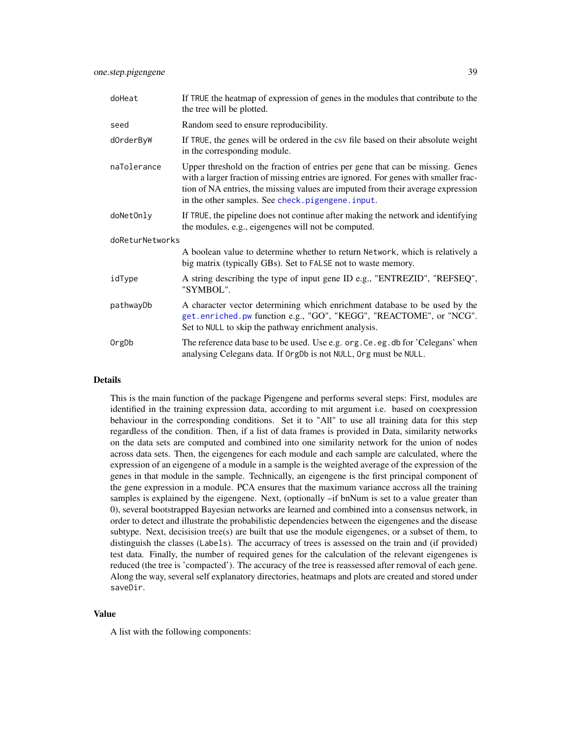<span id="page-38-0"></span>

| doHeat          | If TRUE the heatmap of expression of genes in the modules that contribute to the<br>the tree will be plotted.                                                                                                                                                                                                 |  |
|-----------------|---------------------------------------------------------------------------------------------------------------------------------------------------------------------------------------------------------------------------------------------------------------------------------------------------------------|--|
| seed            | Random seed to ensure reproducibility.                                                                                                                                                                                                                                                                        |  |
| dOrderByW       | If TRUE, the genes will be ordered in the csv file based on their absolute weight<br>in the corresponding module.                                                                                                                                                                                             |  |
| naTolerance     | Upper threshold on the fraction of entries per gene that can be missing. Genes<br>with a larger fraction of missing entries are ignored. For genes with smaller frac-<br>tion of NA entries, the missing values are imputed from their average expression<br>in the other samples. See check.pigengene.input. |  |
| doNetOnly       | If TRUE, the pipeline does not continue after making the network and identifying<br>the modules, e.g., eigengenes will not be computed.                                                                                                                                                                       |  |
| doReturNetworks |                                                                                                                                                                                                                                                                                                               |  |
|                 | A boolean value to determine whether to return Network, which is relatively a<br>big matrix (typically GBs). Set to FALSE not to waste memory.                                                                                                                                                                |  |
| idType          | A string describing the type of input gene ID e.g., "ENTREZID", "REFSEQ",<br>"SYMBOL".                                                                                                                                                                                                                        |  |
| pathwayDb       | A character vector determining which enrichment database to be used by the<br>get.enriched.pw function e.g., "GO", "KEGG", "REACTOME", or "NCG".<br>Set to NULL to skip the pathway enrichment analysis.                                                                                                      |  |
| OrgDb           | The reference data base to be used. Use e.g. org. Ce. eg. db for 'Celegans' when<br>analysing Celegans data. If OrgDb is not NULL, Org must be NULL.                                                                                                                                                          |  |

#### Details

This is the main function of the package Pigengene and performs several steps: First, modules are identified in the training expression data, according to mit argument i.e. based on coexpression behaviour in the corresponding conditions. Set it to "All" to use all training data for this step regardless of the condition. Then, if a list of data frames is provided in Data, similarity networks on the data sets are computed and combined into one similarity network for the union of nodes across data sets. Then, the eigengenes for each module and each sample are calculated, where the expression of an eigengene of a module in a sample is the weighted average of the expression of the genes in that module in the sample. Technically, an eigengene is the first principal component of the gene expression in a module. PCA ensures that the maximum variance accross all the training samples is explained by the eigengene. Next, (optionally –if bnNum is set to a value greater than 0), several bootstrapped Bayesian networks are learned and combined into a consensus network, in order to detect and illustrate the probabilistic dependencies between the eigengenes and the disease subtype. Next, decisision tree(s) are built that use the module eigengenes, or a subset of them, to distinguish the classes (Labels). The accurracy of trees is assessed on the train and (if provided) test data. Finally, the number of required genes for the calculation of the relevant eigengenes is reduced (the tree is 'compacted'). The accuracy of the tree is reassessed after removal of each gene. Along the way, several self explanatory directories, heatmaps and plots are created and stored under saveDir.

#### Value

A list with the following components: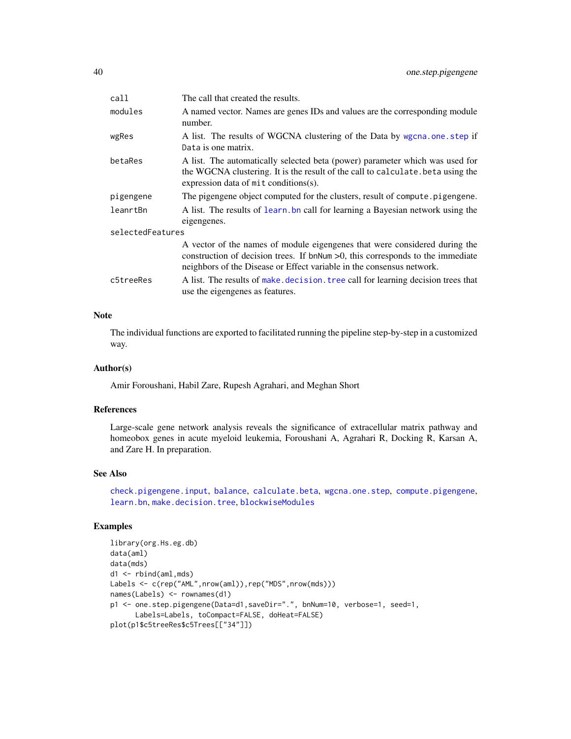<span id="page-39-0"></span>

| call             | The call that created the results.                                                                                                                                                                                                       |  |
|------------------|------------------------------------------------------------------------------------------------------------------------------------------------------------------------------------------------------------------------------------------|--|
| modules          | A named vector. Names are genes IDs and values are the corresponding module<br>number.                                                                                                                                                   |  |
| wgRes            | A list. The results of WGCNA clustering of the Data by wgcna.one.step if<br>Data is one matrix.                                                                                                                                          |  |
| betaRes          | A list. The automatically selected beta (power) parameter which was used for<br>the WGCNA clustering. It is the result of the call to calculate. beta using the<br>expression data of $mit$ conditions(s).                               |  |
| pigengene        | The pigengene object computed for the clusters, result of compute.pigengene.                                                                                                                                                             |  |
| leanrtBn         | A list. The results of learn, bn call for learning a Bayesian network using the<br>eigengenes.                                                                                                                                           |  |
| selectedFeatures |                                                                                                                                                                                                                                          |  |
|                  | A vector of the names of module eigengenes that were considered during the<br>construction of decision trees. If bnNum $>0$ , this corresponds to the immediate<br>neighbors of the Disease or Effect variable in the consensus network. |  |
| c5treeRes        | A list. The results of make, decision, tree call for learning decision trees that<br>use the eigengenes as features.                                                                                                                     |  |

#### Note

The individual functions are exported to facilitated running the pipeline step-by-step in a customized way.

#### Author(s)

Amir Foroushani, Habil Zare, Rupesh Agrahari, and Meghan Short

# References

Large-scale gene network analysis reveals the significance of extracellular matrix pathway and homeobox genes in acute myeloid leukemia, Foroushani A, Agrahari R, Docking R, Karsan A, and Zare H. In preparation.

#### See Also

[check.pigengene.input](#page-8-1), [balance](#page-5-1), [calculate.beta](#page-6-1), [wgcna.one.step](#page-50-1), [compute.pigengene](#page-13-1), [learn.bn](#page-26-1), [make.decision.tree](#page-30-1), [blockwiseModules](#page-0-0)

#### Examples

```
library(org.Hs.eg.db)
data(aml)
data(mds)
d1 <- rbind(aml,mds)
Labels <- c(rep("AML",nrow(aml)),rep("MDS",nrow(mds)))
names(Labels) <- rownames(d1)
p1 <- one.step.pigengene(Data=d1,saveDir=".", bnNum=10, verbose=1, seed=1,
      Labels=Labels, toCompact=FALSE, doHeat=FALSE)
plot(p1$c5treeRes$c5Trees[["34"]])
```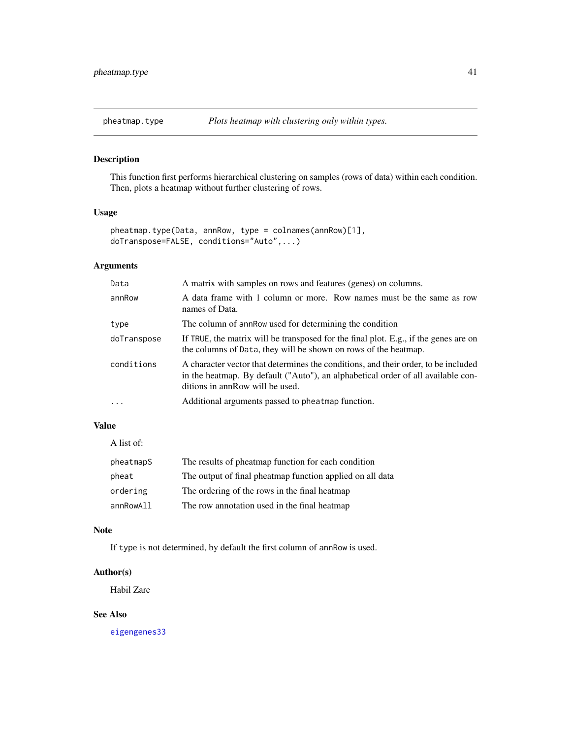<span id="page-40-1"></span><span id="page-40-0"></span>

# Description

This function first performs hierarchical clustering on samples (rows of data) within each condition. Then, plots a heatmap without further clustering of rows.

# Usage

```
pheatmap.type(Data, annRow, type = colnames(annRow)[1],
doTranspose=FALSE, conditions="Auto",...)
```
# Arguments

| Data        | A matrix with samples on rows and features (genes) on columns.                                                                                                                                            |
|-------------|-----------------------------------------------------------------------------------------------------------------------------------------------------------------------------------------------------------|
| annRow      | A data frame with 1 column or more. Row names must be the same as row<br>names of Data.                                                                                                                   |
| type        | The column of annRow used for determining the condition                                                                                                                                                   |
| doTranspose | If TRUE, the matrix will be transposed for the final plot. E.g., if the genes are on<br>the columns of Data, they will be shown on rows of the heatmap.                                                   |
| conditions  | A character vector that determines the conditions, and their order, to be included<br>in the heatmap. By default ("Auto"), an alphabetical order of all available con-<br>ditions in annRow will be used. |
| $\ddotsc$   | Additional arguments passed to pheatmap function.                                                                                                                                                         |

# Value

| A list of: |                                                           |
|------------|-----------------------------------------------------------|
| pheatmapS  | The results of pheatmap function for each condition       |
| pheat      | The output of final pheatmap function applied on all data |
| ordering   | The ordering of the rows in the final heatmap             |
| annRowAll  | The row annotation used in the final heatmap              |

#### Note

If type is not determined, by default the first column of annRow is used.

# Author(s)

Habil Zare

# See Also

[eigengenes33](#page-19-1)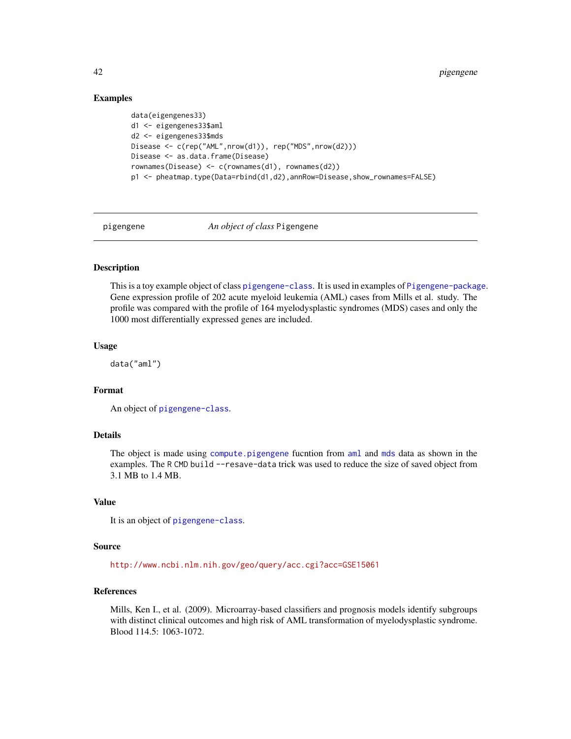# Examples

```
data(eigengenes33)
d1 <- eigengenes33$aml
d2 <- eigengenes33$mds
Disease <- c(rep("AML",nrow(d1)), rep("MDS",nrow(d2)))
Disease <- as.data.frame(Disease)
rownames(Disease) <- c(rownames(d1), rownames(d2))
p1 <- pheatmap.type(Data=rbind(d1,d2),annRow=Disease,show_rownames=FALSE)
```
pigengene *An object of class* Pigengene

# **Description**

This is a toy example object of class [pigengene-class](#page-42-1). It is used in examples of [Pigengene-package](#page-2-1). Gene expression profile of 202 acute myeloid leukemia (AML) cases from Mills et al. study. The profile was compared with the profile of 164 myelodysplastic syndromes (MDS) cases and only the 1000 most differentially expressed genes are included.

#### Usage

data("aml")

# Format

An object of [pigengene-class](#page-42-1).

#### Details

The object is made using [compute.pigengene](#page-13-1) fucntion from [aml](#page-3-1) and [mds](#page-33-1) data as shown in the examples. The R CMD build --resave-data trick was used to reduce the size of saved object from 3.1 MB to 1.4 MB.

# Value

It is an object of [pigengene-class](#page-42-1).

#### Source

<http://www.ncbi.nlm.nih.gov/geo/query/acc.cgi?acc=GSE15061>

#### References

Mills, Ken I., et al. (2009). Microarray-based classifiers and prognosis models identify subgroups with distinct clinical outcomes and high risk of AML transformation of myelodysplastic syndrome. Blood 114.5: 1063-1072.

<span id="page-41-0"></span>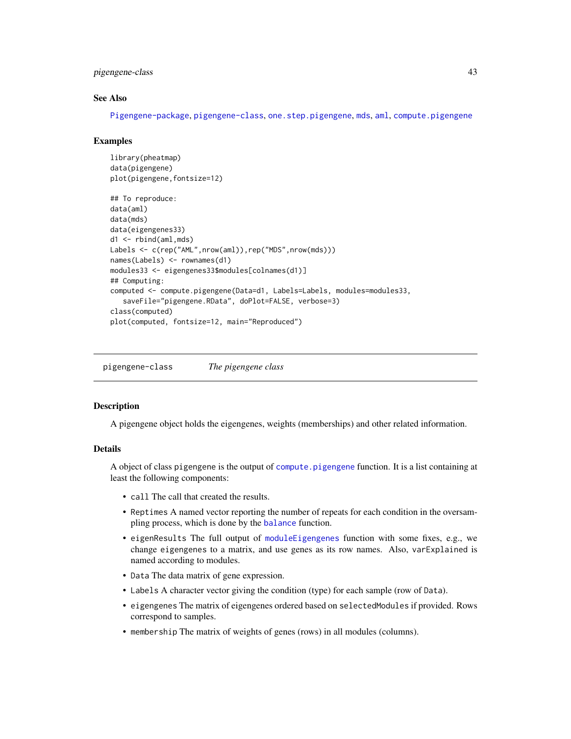# <span id="page-42-0"></span>pigengene-class 43

# See Also

[Pigengene-package](#page-2-1), [pigengene-class](#page-42-1), [one.step.pigengene](#page-36-1), [mds](#page-33-1), [aml](#page-3-1), [compute.pigengene](#page-13-1)

#### Examples

```
library(pheatmap)
data(pigengene)
plot(pigengene,fontsize=12)
## To reproduce:
data(aml)
data(mds)
data(eigengenes33)
d1 <- rbind(aml,mds)
Labels <- c(rep("AML",nrow(aml)),rep("MDS",nrow(mds)))
names(Labels) <- rownames(d1)
modules33 <- eigengenes33$modules[colnames(d1)]
## Computing:
computed <- compute.pigengene(Data=d1, Labels=Labels, modules=modules33,
   saveFile="pigengene.RData", doPlot=FALSE, verbose=3)
class(computed)
plot(computed, fontsize=12, main="Reproduced")
```
<span id="page-42-1"></span>pigengene-class *The pigengene class*

### **Description**

A pigengene object holds the eigengenes, weights (memberships) and other related information.

#### Details

A object of class pigengene is the output of [compute.pigengene](#page-13-1) function. It is a list containing at least the following components:

- call The call that created the results.
- Reptimes A named vector reporting the number of repeats for each condition in the oversampling process, which is done by the [balance](#page-5-1) function.
- eigenResults The full output of [moduleEigengenes](#page-0-0) function with some fixes, e.g., we change eigengenes to a matrix, and use genes as its row names. Also, varExplained is named according to modules.
- Data The data matrix of gene expression.
- Labels A character vector giving the condition (type) for each sample (row of Data).
- eigengenes The matrix of eigengenes ordered based on selectedModules if provided. Rows correspond to samples.
- membership The matrix of weights of genes (rows) in all modules (columns).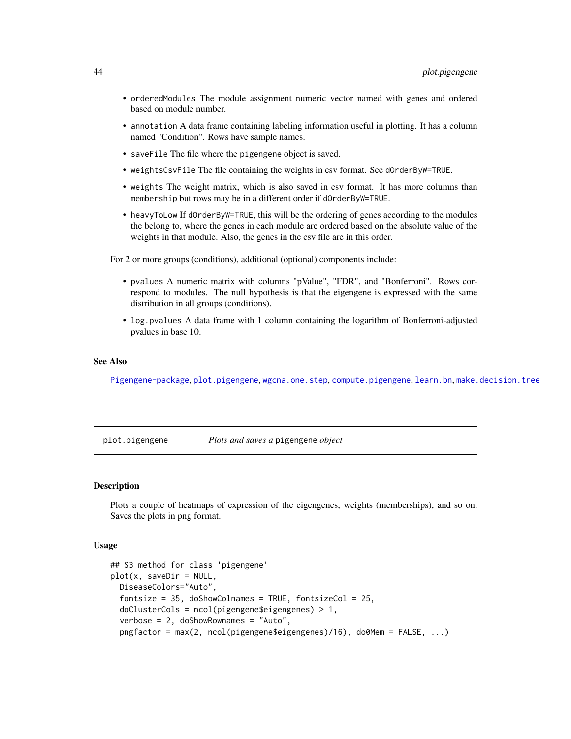- <span id="page-43-0"></span>• orderedModules The module assignment numeric vector named with genes and ordered based on module number.
- annotation A data frame containing labeling information useful in plotting. It has a column named "Condition". Rows have sample names.
- saveFile The file where the pigengene object is saved.
- weightsCsvFile The file containing the weights in csv format. See dOrderByW=TRUE.
- weights The weight matrix, which is also saved in csv format. It has more columns than membership but rows may be in a different order if dOrderByW=TRUE.
- heavyToLow If dOrderByW=TRUE, this will be the ordering of genes according to the modules the belong to, where the genes in each module are ordered based on the absolute value of the weights in that module. Also, the genes in the csv file are in this order.

For 2 or more groups (conditions), additional (optional) components include:

- pvalues A numeric matrix with columns "pValue", "FDR", and "Bonferroni". Rows correspond to modules. The null hypothesis is that the eigengene is expressed with the same distribution in all groups (conditions).
- log.pvalues A data frame with 1 column containing the logarithm of Bonferroni-adjusted pvalues in base 10.

### See Also

[Pigengene-package](#page-2-1), [plot.pigengene](#page-43-1), [wgcna.one.step](#page-50-1), [compute.pigengene](#page-13-1), [learn.bn](#page-26-1), [make.decision.tree](#page-30-1)

<span id="page-43-1"></span>plot.pigengene *Plots and saves a* pigengene *object*

#### Description

Plots a couple of heatmaps of expression of the eigengenes, weights (memberships), and so on. Saves the plots in png format.

#### Usage

```
## S3 method for class 'pigengene'
plot(x, saveDir = NULL,DiseaseColors="Auto",
  fontsize = 35, doShowColnames = TRUE, fontsizeCol = 25,
  doClusterCols = ncol(pigengene$eigengenes) > 1,
  verbose = 2, doShowRownames = "Auto",
  pngfactor = max(2, ncol(pigengene$eigengenes)/16), do0Mem = FALSE, ...)
```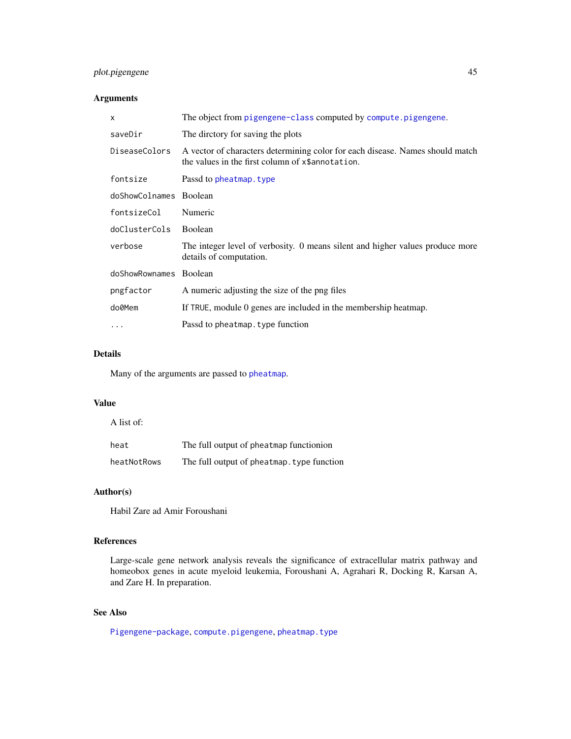# <span id="page-44-0"></span>plot.pigengene 45

# Arguments

| X                      | The object from pigengene-class computed by compute pigengene.                                                                    |
|------------------------|-----------------------------------------------------------------------------------------------------------------------------------|
| saveDir                | The directory for saving the plots                                                                                                |
| DiseaseColors          | A vector of characters determining color for each disease. Names should match<br>the values in the first column of x\$annotation. |
| fontsize               | Passd to pheatmap. type                                                                                                           |
| doShowColnames Boolean |                                                                                                                                   |
| fontsizeCol            | Numeric                                                                                                                           |
| doClusterCols          | Boolean                                                                                                                           |
| verbose                | The integer level of verbosity. 0 means silent and higher values produce more<br>details of computation.                          |
| doShowRownames Boolean |                                                                                                                                   |
| pngfactor              | A numeric adjusting the size of the png files                                                                                     |
| do0Mem                 | If TRUE, module 0 genes are included in the membership heatmap.                                                                   |
| $\ddotsc$              | Passd to pheatmap. type function                                                                                                  |
|                        |                                                                                                                                   |

# Details

Many of the arguments are passed to [pheatmap](#page-0-0).

#### Value

A list of:

| heat        | The full output of pheatmap functionion    |
|-------------|--------------------------------------------|
| heatNotRows | The full output of pheatmap. type function |

# Author(s)

Habil Zare ad Amir Foroushani

# References

Large-scale gene network analysis reveals the significance of extracellular matrix pathway and homeobox genes in acute myeloid leukemia, Foroushani A, Agrahari R, Docking R, Karsan A, and Zare H. In preparation.

# See Also

[Pigengene-package](#page-2-1), [compute.pigengene](#page-13-1), [pheatmap.type](#page-40-1)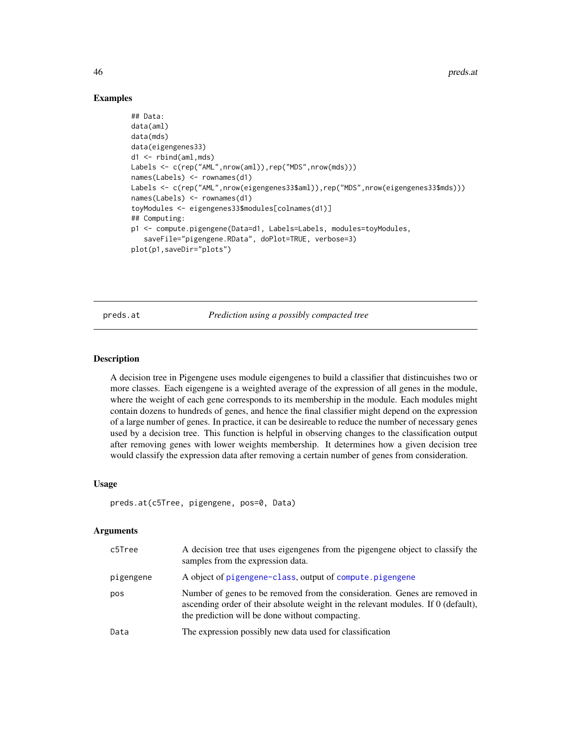# Examples

```
## Data:
data(aml)
data(mds)
data(eigengenes33)
d1 <- rbind(aml,mds)
Labels <- c(rep("AML", nrow(aml)), rep("MDS", nrow(mds)))
names(Labels) <- rownames(d1)
Labels <- c(rep("AML",nrow(eigengenes33$aml)),rep("MDS",nrow(eigengenes33$mds)))
names(Labels) <- rownames(d1)
toyModules <- eigengenes33$modules[colnames(d1)]
## Computing:
p1 <- compute.pigengene(Data=d1, Labels=Labels, modules=toyModules,
   saveFile="pigengene.RData", doPlot=TRUE, verbose=3)
plot(p1,saveDir="plots")
```
preds.at *Prediction using a possibly compacted tree*

#### **Description**

A decision tree in Pigengene uses module eigengenes to build a classifier that distincuishes two or more classes. Each eigengene is a weighted average of the expression of all genes in the module, where the weight of each gene corresponds to its membership in the module. Each modules might contain dozens to hundreds of genes, and hence the final classifier might depend on the expression of a large number of genes. In practice, it can be desireable to reduce the number of necessary genes used by a decision tree. This function is helpful in observing changes to the classification output after removing genes with lower weights membership. It determines how a given decision tree would classify the expression data after removing a certain number of genes from consideration.

#### Usage

```
preds.at(c5Tree, pigengene, pos=0, Data)
```

| c5Tree    | A decision tree that uses eigengenes from the pigengene object to classify the<br>samples from the expression data.                                                                                                |
|-----------|--------------------------------------------------------------------------------------------------------------------------------------------------------------------------------------------------------------------|
| pigengene | A object of pigengene-class, output of compute pigengene                                                                                                                                                           |
| pos       | Number of genes to be removed from the consideration. Genes are removed in<br>ascending order of their absolute weight in the relevant modules. If 0 (default),<br>the prediction will be done without compacting. |
| Data      | The expression possibly new data used for classification                                                                                                                                                           |

<span id="page-45-0"></span>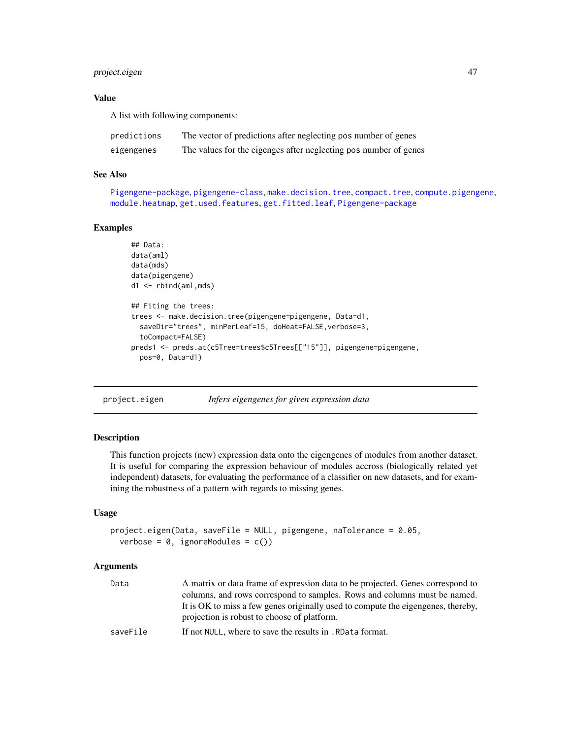# <span id="page-46-0"></span>project.eigen 47

# Value

A list with following components:

| predictions | The vector of predictions after neglecting pos number of genes   |
|-------------|------------------------------------------------------------------|
| eigengenes  | The values for the eigenges after neglecting pos number of genes |

# See Also

[Pigengene-package](#page-2-1), [pigengene-class](#page-42-1), [make.decision.tree](#page-30-1), [compact.tree](#page-11-1), [compute.pigengene](#page-13-1), [module.heatmap](#page-35-1), [get.used.features](#page-25-1), [get.fitted.leaf](#page-23-1), [Pigengene-package](#page-2-1)

#### Examples

```
## Data:
data(aml)
data(mds)
data(pigengene)
d1 <- rbind(aml,mds)
## Fiting the trees:
trees <- make.decision.tree(pigengene=pigengene, Data=d1,
  saveDir="trees", minPerLeaf=15, doHeat=FALSE,verbose=3,
  toCompact=FALSE)
preds1 <- preds.at(c5Tree=trees$c5Trees[["15"]], pigengene=pigengene,
  pos=0, Data=d1)
```
project.eigen *Infers eigengenes for given expression data*

#### Description

This function projects (new) expression data onto the eigengenes of modules from another dataset. It is useful for comparing the expression behaviour of modules accross (biologically related yet independent) datasets, for evaluating the performance of a classifier on new datasets, and for examining the robustness of a pattern with regards to missing genes.

# Usage

```
project.eigen(Data, saveFile = NULL, pigengene, naTolerance = 0.05,
  verbose = 0, ignoreModules = c()
```

| Data     | A matrix or data frame of expression data to be projected. Genes correspond to                                                  |
|----------|---------------------------------------------------------------------------------------------------------------------------------|
|          | columns, and rows correspond to samples. Rows and columns must be named.                                                        |
|          | It is OK to miss a few genes originally used to compute the eigengenes, thereby,<br>projection is robust to choose of platform. |
| saveFile | If not NULL, where to save the results in . RData format.                                                                       |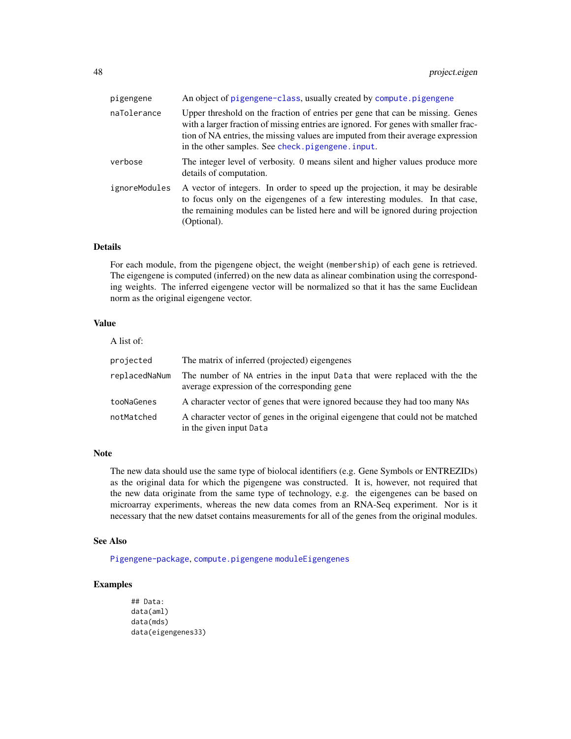<span id="page-47-0"></span>

| pigengene     | An object of pigengene-class, usually created by compute.pigengene                                                                                                                                                                                                                                              |
|---------------|-----------------------------------------------------------------------------------------------------------------------------------------------------------------------------------------------------------------------------------------------------------------------------------------------------------------|
| naTolerance   | Upper threshold on the fraction of entries per gene that can be missing. Genes<br>with a larger fraction of missing entries are ignored. For genes with smaller frac-<br>tion of NA entries, the missing values are imputed from their average expression<br>in the other samples. See check. pigengene. input. |
| verbose       | The integer level of verbosity. 0 means silent and higher values produce more<br>details of computation.                                                                                                                                                                                                        |
| ignoreModules | A vector of integers. In order to speed up the projection, it may be desirable<br>to focus only on the eigengenes of a few interesting modules. In that case,<br>the remaining modules can be listed here and will be ignored during projection<br>(Optional).                                                  |

#### Details

For each module, from the pigengene object, the weight (membership) of each gene is retrieved. The eigengene is computed (inferred) on the new data as alinear combination using the corresponding weights. The inferred eigengene vector will be normalized so that it has the same Euclidean norm as the original eigengene vector.

# Value

| A list of:    |                                                                                                                            |
|---------------|----------------------------------------------------------------------------------------------------------------------------|
| projected     | The matrix of inferred (projected) eigengenes                                                                              |
| replacedNaNum | The number of NA entries in the input Data that were replaced with the the<br>average expression of the corresponding gene |
| tooNaGenes    | A character vector of genes that were ignored because they had too many NAs                                                |
| notMatched    | A character vector of genes in the original eigengene that could not be matched<br>in the given input Data                 |

#### Note

The new data should use the same type of biolocal identifiers (e.g. Gene Symbols or ENTREZIDs) as the original data for which the pigengene was constructed. It is, however, not required that the new data originate from the same type of technology, e.g. the eigengenes can be based on microarray experiments, whereas the new data comes from an RNA-Seq experiment. Nor is it necessary that the new datset contains measurements for all of the genes from the original modules.

#### See Also

[Pigengene-package](#page-2-1), [compute.pigengene](#page-13-1) [moduleEigengenes](#page-0-0)

# Examples

```
## Data:
data(aml)
data(mds)
data(eigengenes33)
```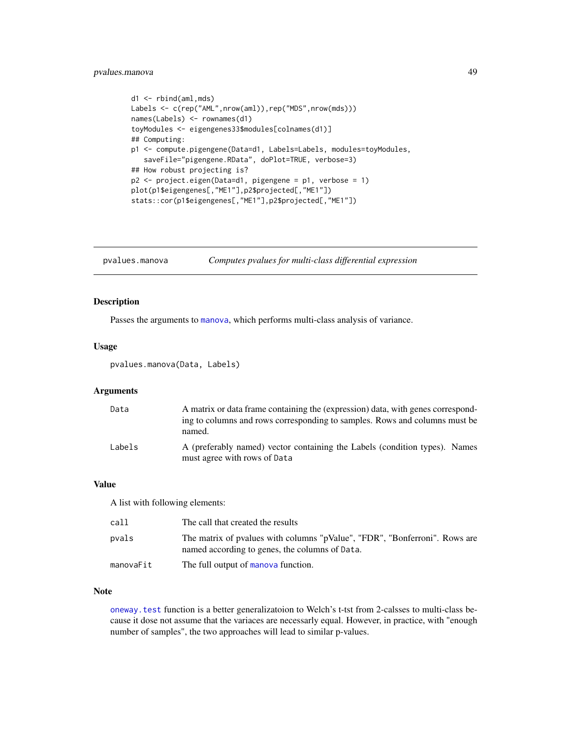# <span id="page-48-0"></span>pvalues.manova 49

```
d1 <- rbind(aml,mds)
Labels <- c(rep("AML",nrow(aml)),rep("MDS",nrow(mds)))
names(Labels) <- rownames(d1)
toyModules <- eigengenes33$modules[colnames(d1)]
## Computing:
p1 <- compute.pigengene(Data=d1, Labels=Labels, modules=toyModules,
   saveFile="pigengene.RData", doPlot=TRUE, verbose=3)
## How robust projecting is?
p2 <- project.eigen(Data=d1, pigengene = p1, verbose = 1)
plot(p1$eigengenes[,"ME1"],p2$projected[,"ME1"])
stats::cor(p1$eigengenes[,"ME1"],p2$projected[,"ME1"])
```
pvalues.manova *Computes pvalues for multi-class differential expression*

# Description

Passes the arguments to [manova](#page-0-0), which performs multi-class analysis of variance.

#### Usage

pvalues.manova(Data, Labels)

#### Arguments

| Data   | A matrix or data frame containing the (expression) data, with genes correspond-<br>ing to columns and rows corresponding to samples. Rows and columns must be<br>named. |
|--------|-------------------------------------------------------------------------------------------------------------------------------------------------------------------------|
| Labels | A (preferably named) vector containing the Labels (condition types). Names<br>must agree with rows of Data                                                              |

#### Value

A list with following elements:

| call      | The call that created the results                                                                                            |
|-----------|------------------------------------------------------------------------------------------------------------------------------|
| pvals     | The matrix of pvalues with columns "pValue", "FDR", "Bonferroni". Rows are<br>named according to genes, the columns of Data. |
| manovaFit | The full output of manova function.                                                                                          |

#### Note

[oneway.test](#page-0-0) function is a better generalizatoion to Welch's t-tst from 2-calsses to multi-class because it dose not assume that the variaces are necessarly equal. However, in practice, with "enough number of samples", the two approaches will lead to similar p-values.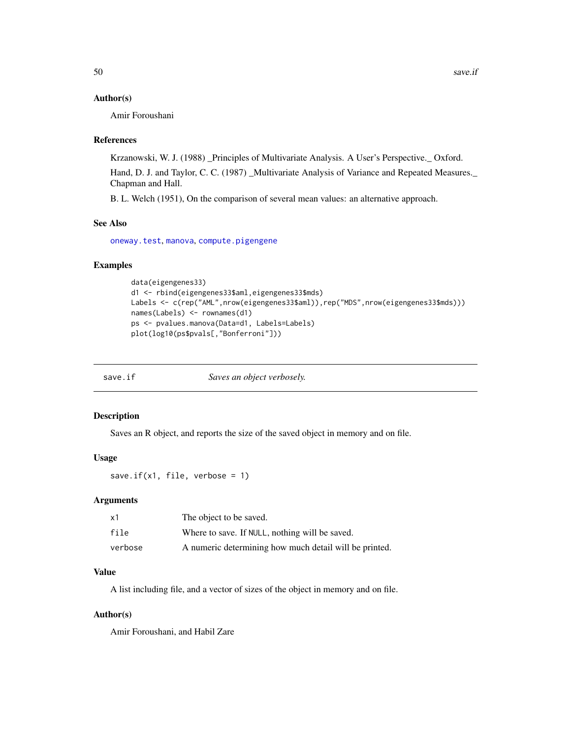#### <span id="page-49-0"></span>Author(s)

Amir Foroushani

#### References

Krzanowski, W. J. (1988) \_Principles of Multivariate Analysis. A User's Perspective.\_ Oxford.

Hand, D. J. and Taylor, C. C. (1987) \_Multivariate Analysis of Variance and Repeated Measures.\_ Chapman and Hall.

B. L. Welch (1951), On the comparison of several mean values: an alternative approach.

# See Also

[oneway.test](#page-0-0), [manova](#page-0-0), [compute.pigengene](#page-13-1)

#### Examples

```
data(eigengenes33)
d1 <- rbind(eigengenes33$aml,eigengenes33$mds)
Labels <- c(rep("AML", nrow(eigengenes33$aml)), rep("MDS", nrow(eigengenes33$mds)))
names(Labels) <- rownames(d1)
ps <- pvalues.manova(Data=d1, Labels=Labels)
plot(log10(ps$pvals[,"Bonferroni"]))
```
save.if *Saves an object verbosely.*

#### Description

Saves an R object, and reports the size of the saved object in memory and on file.

#### Usage

save.if( $x1$ , file, verbose = 1)

#### Arguments

| x1      | The object to be saved.                                |
|---------|--------------------------------------------------------|
| file    | Where to save. If NULL, nothing will be saved.         |
| verbose | A numeric determining how much detail will be printed. |

# Value

A list including file, and a vector of sizes of the object in memory and on file.

### Author(s)

Amir Foroushani, and Habil Zare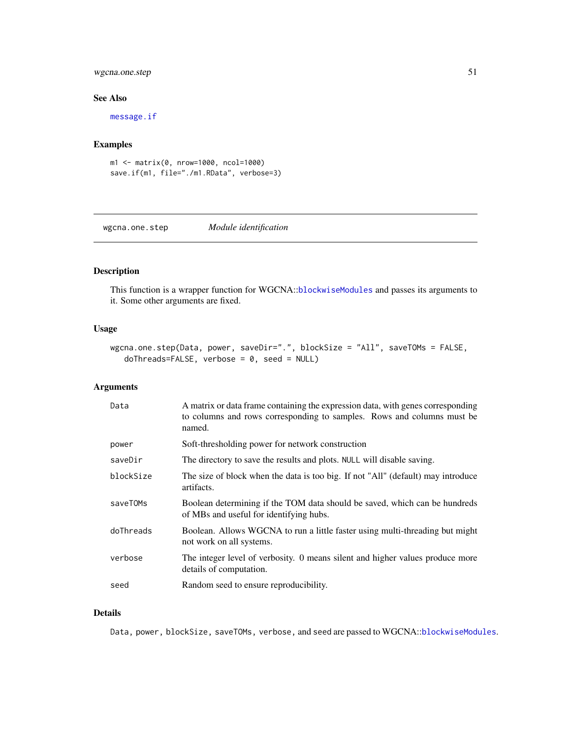# <span id="page-50-0"></span>wgcna.one.step 51

#### See Also

[message.if](#page-34-1)

# Examples

```
m1 <- matrix(0, nrow=1000, ncol=1000)
save.if(m1, file="./m1.RData", verbose=3)
```
<span id="page-50-1"></span>wgcna.one.step *Module identification*

# Description

This function is a wrapper function for WGCNA::[blockwiseModules](#page-0-0) and passes its arguments to it. Some other arguments are fixed.

# Usage

```
wgcna.one.step(Data, power, saveDir=".", blockSize = "All", saveTOMs = FALSE,
   doThreads=FALSE, verbose = 0, seed = NULL)
```
# Arguments

| Data      | A matrix or data frame containing the expression data, with genes corresponding<br>to columns and rows corresponding to samples. Rows and columns must be<br>named. |
|-----------|---------------------------------------------------------------------------------------------------------------------------------------------------------------------|
| power     | Soft-thresholding power for network construction                                                                                                                    |
| saveDir   | The directory to save the results and plots. NULL will disable saving.                                                                                              |
| blockSize | The size of block when the data is too big. If not "All" (default) may introduce<br>artifacts.                                                                      |
| saveTOMs  | Boolean determining if the TOM data should be saved, which can be hundreds<br>of MBs and useful for identifying hubs.                                               |
| doThreads | Boolean. Allows WGCNA to run a little faster using multi-threading but might<br>not work on all systems.                                                            |
| verbose   | The integer level of verbosity. 0 means silent and higher values produce more<br>details of computation.                                                            |
| seed      | Random seed to ensure reproducibility.                                                                                                                              |

#### Details

Data, power, blockSize, saveTOMs, verbose, and seed are passed to WGCNA::[blockwiseModules](#page-0-0).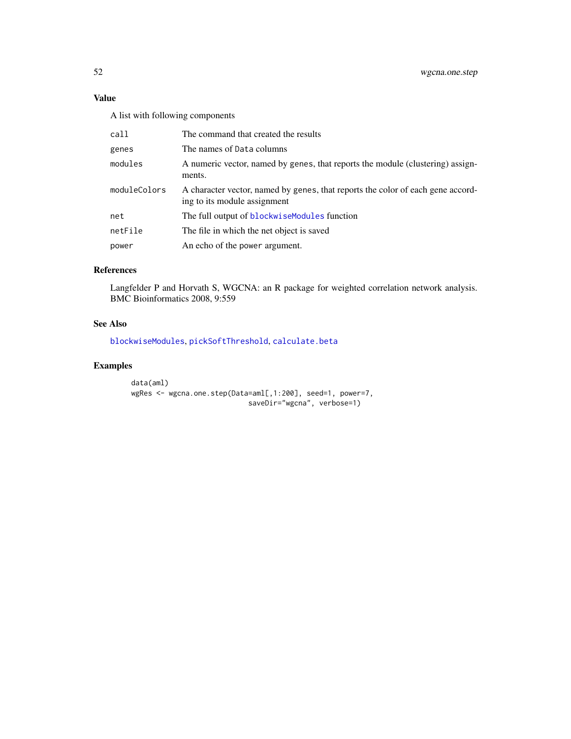# <span id="page-51-0"></span>Value

A list with following components

| call         | The command that created the results                                                                            |
|--------------|-----------------------------------------------------------------------------------------------------------------|
| genes        | The names of Data columns                                                                                       |
| modules      | A numeric vector, named by genes, that reports the module (clustering) assign-<br>ments.                        |
| moduleColors | A character vector, named by genes, that reports the color of each gene accord-<br>ing to its module assignment |
| net          | The full output of blockwiseModules function                                                                    |
| netFile      | The file in which the net object is saved                                                                       |
| power        | An echo of the power argument.                                                                                  |

#### References

Langfelder P and Horvath S, WGCNA: an R package for weighted correlation network analysis. BMC Bioinformatics 2008, 9:559

# See Also

[blockwiseModules](#page-0-0), [pickSoftThreshold](#page-0-0), [calculate.beta](#page-6-1)

# Examples

```
data(aml)
wgRes <- wgcna.one.step(Data=aml[,1:200], seed=1, power=7,
                           saveDir="wgcna", verbose=1)
```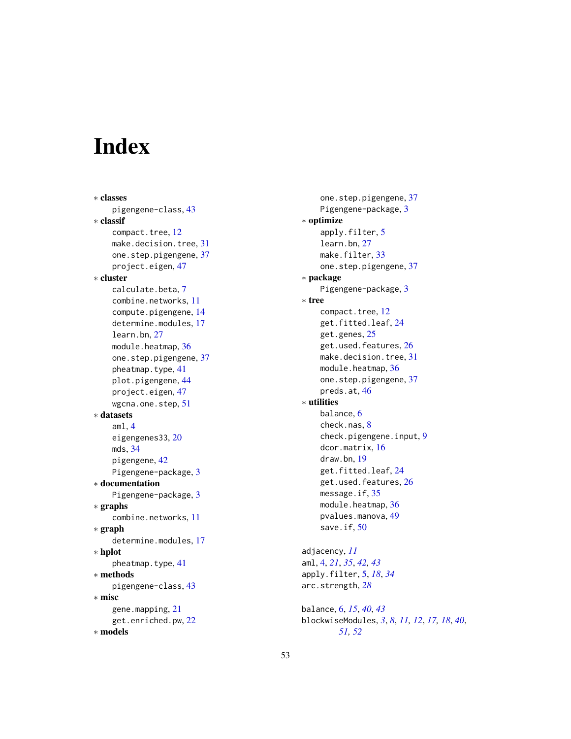# <span id="page-52-0"></span>Index

∗ classes pigengene-class, [43](#page-42-0) ∗ classif compact.tree, [12](#page-11-0) make.decision.tree, [31](#page-30-0) one.step.pigengene, [37](#page-36-0) project.eigen, [47](#page-46-0) ∗ cluster calculate.beta, [7](#page-6-0) combine.networks, [11](#page-10-0) compute.pigengene, [14](#page-13-0) determine.modules, [17](#page-16-0) learn.bn, [27](#page-26-0) module.heatmap, [36](#page-35-0) one.step.pigengene, [37](#page-36-0) pheatmap.type, [41](#page-40-0) plot.pigengene, [44](#page-43-0) project.eigen, [47](#page-46-0) wgcna.one.step, [51](#page-50-0) ∗ datasets aml, [4](#page-3-0) eigengenes33, [20](#page-19-0) mds, [34](#page-33-0) pigengene, [42](#page-41-0) Pigengene-package, [3](#page-2-0) ∗ documentation Pigengene-package, [3](#page-2-0) ∗ graphs combine.networks, [11](#page-10-0) ∗ graph determine.modules, [17](#page-16-0) ∗ hplot pheatmap.type, [41](#page-40-0) ∗ methods pigengene-class, [43](#page-42-0) ∗ misc gene.mapping, [21](#page-20-0) get.enriched.pw, [22](#page-21-0) ∗ models

one.step.pigengene, [37](#page-36-0) Pigengene-package, [3](#page-2-0) ∗ optimize apply.filter, [5](#page-4-0) learn.bn, [27](#page-26-0) make.filter, [33](#page-32-0) one.step.pigengene, [37](#page-36-0) ∗ package Pigengene-package, [3](#page-2-0) ∗ tree compact.tree, [12](#page-11-0) get.fitted.leaf, [24](#page-23-0) get.genes, [25](#page-24-0) get.used.features, [26](#page-25-0) make.decision.tree, [31](#page-30-0) module.heatmap, [36](#page-35-0) one.step.pigengene, [37](#page-36-0) preds.at, [46](#page-45-0) ∗ utilities balance, [6](#page-5-0) check.nas, [8](#page-7-0) check.pigengene.input, [9](#page-8-0) dcor.matrix, [16](#page-15-0) draw.bn, [19](#page-18-0) get.fitted.leaf, [24](#page-23-0) get.used.features, [26](#page-25-0) message.if, [35](#page-34-0) module.heatmap, [36](#page-35-0) pvalues.manova, [49](#page-48-0) save.if, [50](#page-49-0) adjacency, *[11](#page-10-0)* aml, [4,](#page-3-0) *[21](#page-20-0)*, *[35](#page-34-0)*, *[42,](#page-41-0) [43](#page-42-0)* apply.filter, [5,](#page-4-0) *[18](#page-17-0)*, *[34](#page-33-0)* arc.strength, *[28](#page-27-0)* balance, [6,](#page-5-0) *[15](#page-14-0)*, *[40](#page-39-0)*, *[43](#page-42-0)* blockwiseModules, *[3](#page-2-0)*, *[8](#page-7-0)*, *[11,](#page-10-0) [12](#page-11-0)*, *[17,](#page-16-0) [18](#page-17-0)*, *[40](#page-39-0)*,

*[51,](#page-50-0) [52](#page-51-0)*